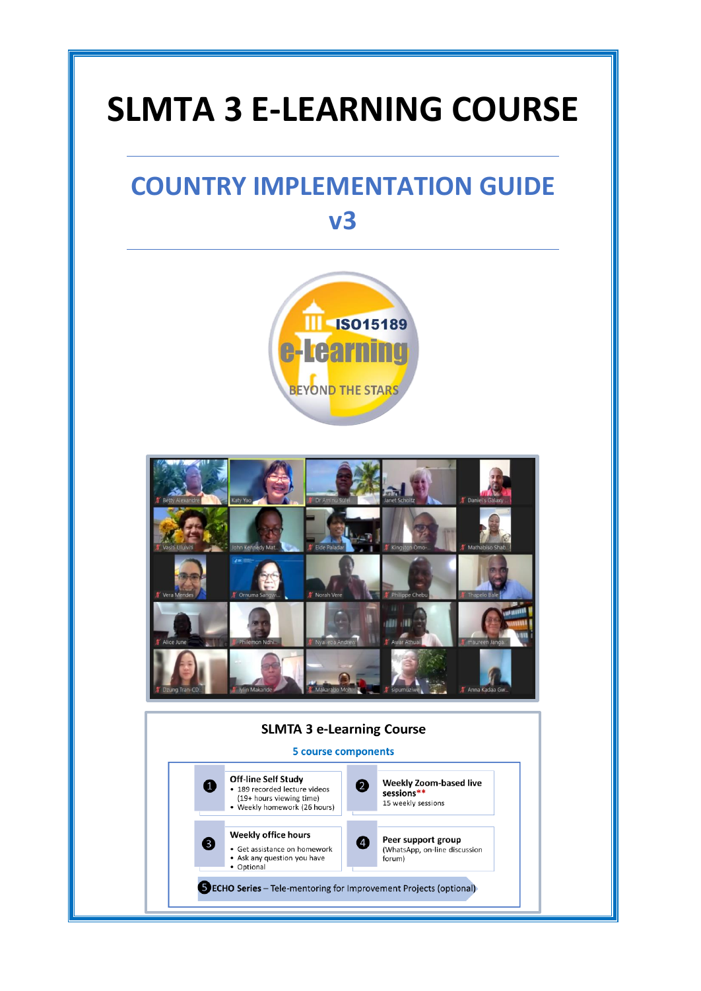# **SLMTA 3 E-LEARNING COURSE**

# **COUNTRY IMPLEMENTATION GUIDE v3**





#### **SLMTA 3 e-Learning Course**

#### **5 course components**

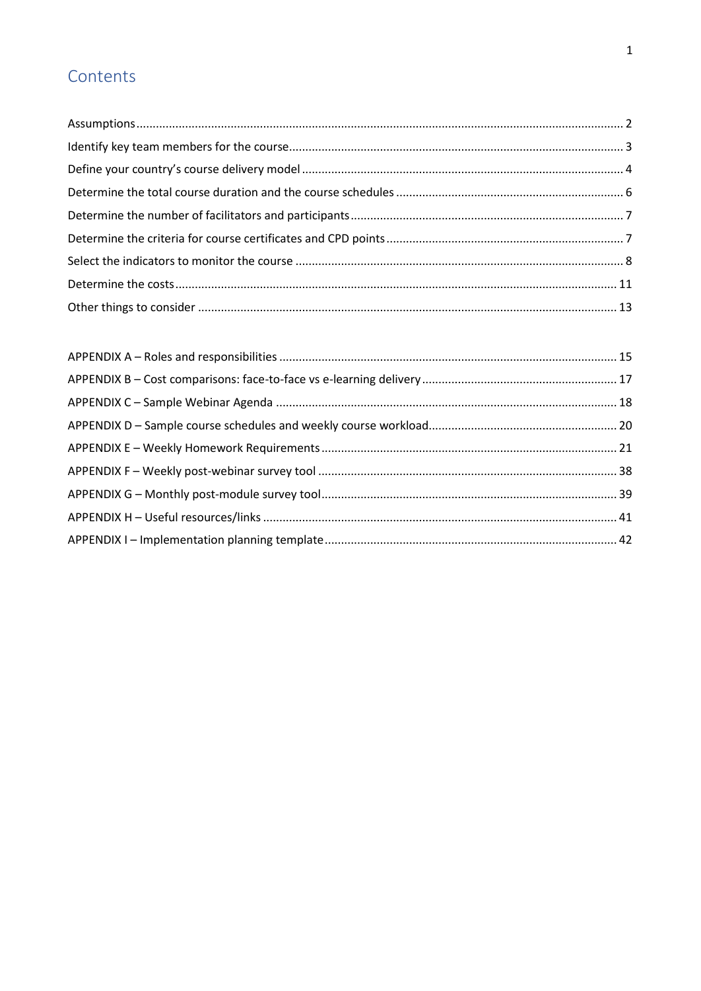# Contents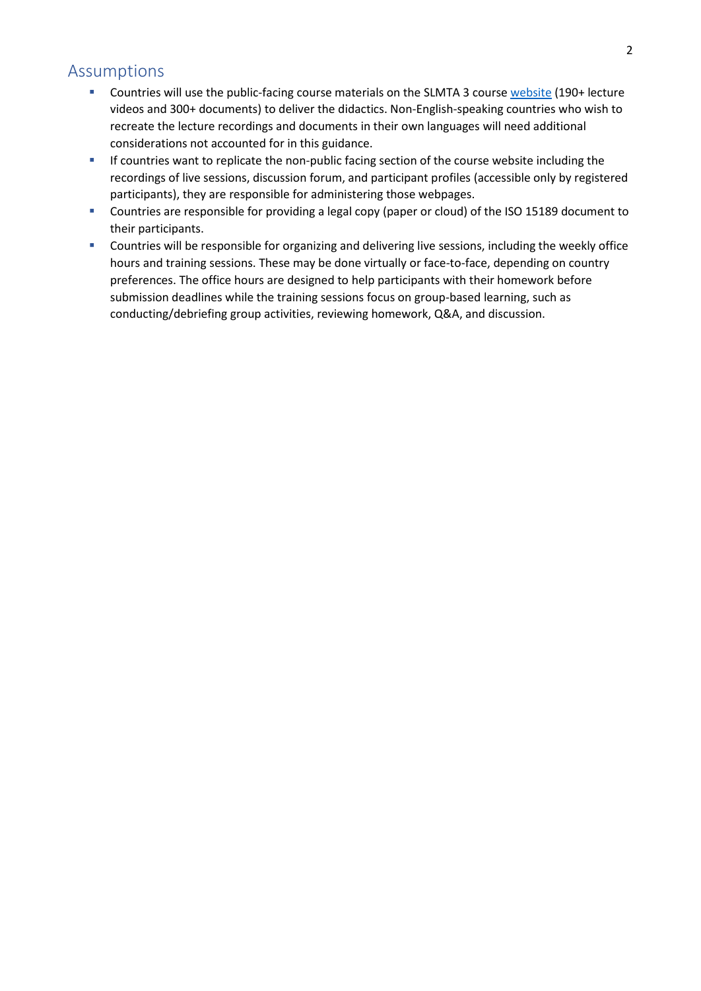#### <span id="page-2-0"></span>Assumptions

- Countries will use the public-facing course materials on the SLMTA 3 course [website](https://slmta.org/learning/) (190+ lecture videos and 300+ documents) to deliver the didactics. Non-English-speaking countries who wish to recreate the lecture recordings and documents in their own languages will need additional considerations not accounted for in this guidance.
- **■** If countries want to replicate the non-public facing section of the course website including the recordings of live sessions, discussion forum, and participant profiles (accessible only by registered participants), they are responsible for administering those webpages.
- Countries are responsible for providing a legal copy (paper or cloud) of the ISO 15189 document to their participants.
- Countries will be responsible for organizing and delivering live sessions, including the weekly office hours and training sessions. These may be done virtually or face-to-face, depending on country preferences. The office hours are designed to help participants with their homework before submission deadlines while the training sessions focus on group-based learning, such as conducting/debriefing group activities, reviewing homework, Q&A, and discussion.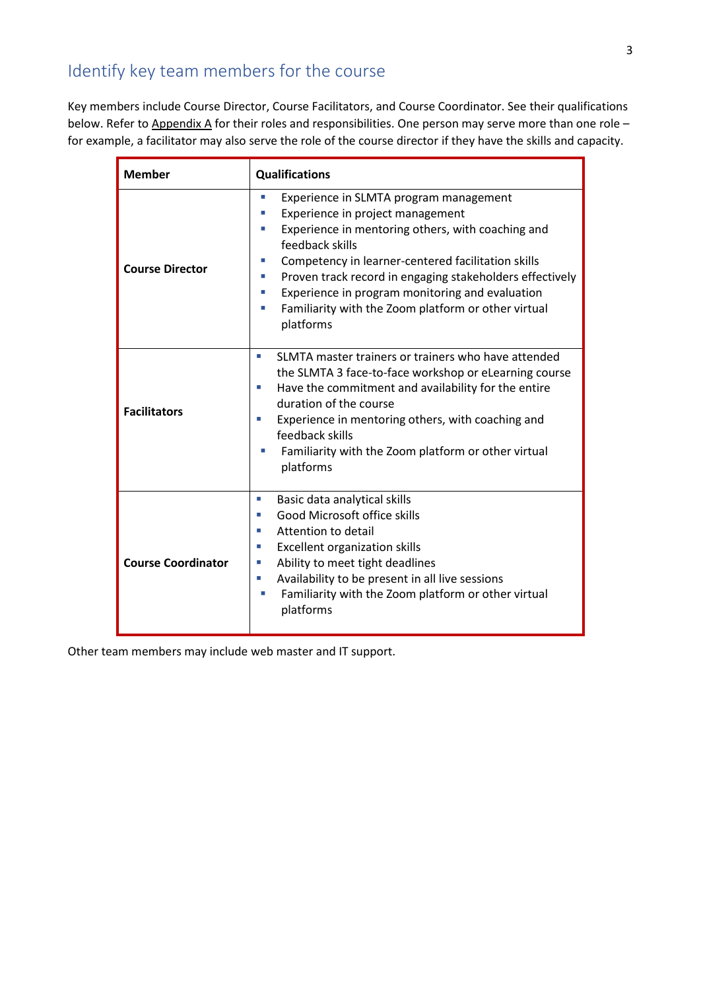### <span id="page-3-0"></span>Identify key team members for the course

Key members include Course Director, Course Facilitators, and Course Coordinator. See their qualifications below. Refer to Appendix A for their roles and responsibilities. One person may serve more than one role for example, a facilitator may also serve the role of the course director if they have the skills and capacity.

| <b>Member</b>             | <b>Qualifications</b>                                                                                                                                                                                                                                                                                                                                                                                                           |  |
|---------------------------|---------------------------------------------------------------------------------------------------------------------------------------------------------------------------------------------------------------------------------------------------------------------------------------------------------------------------------------------------------------------------------------------------------------------------------|--|
| <b>Course Director</b>    | Experience in SLMTA program management<br>T,<br>Experience in project management<br>ш<br>Experience in mentoring others, with coaching and<br>ш<br>feedback skills<br>Competency in learner-centered facilitation skills<br>П<br>Proven track record in engaging stakeholders effectively<br>П<br>Experience in program monitoring and evaluation<br>ш<br>Familiarity with the Zoom platform or other virtual<br>ш<br>platforms |  |
| <b>Facilitators</b>       | SLMTA master trainers or trainers who have attended<br>×.<br>the SLMTA 3 face-to-face workshop or eLearning course<br>Have the commitment and availability for the entire<br>×<br>duration of the course<br>Experience in mentoring others, with coaching and<br>×<br>feedback skills<br>Familiarity with the Zoom platform or other virtual<br>platforms                                                                       |  |
| <b>Course Coordinator</b> | Basic data analytical skills<br>×<br>Good Microsoft office skills<br>u.<br>Attention to detail<br>ш<br><b>Excellent organization skills</b><br>×.<br>Ability to meet tight deadlines<br>×.<br>Availability to be present in all live sessions<br>ш<br>Familiarity with the Zoom platform or other virtual<br>ш<br>platforms                                                                                                     |  |

Other team members may include web master and IT support.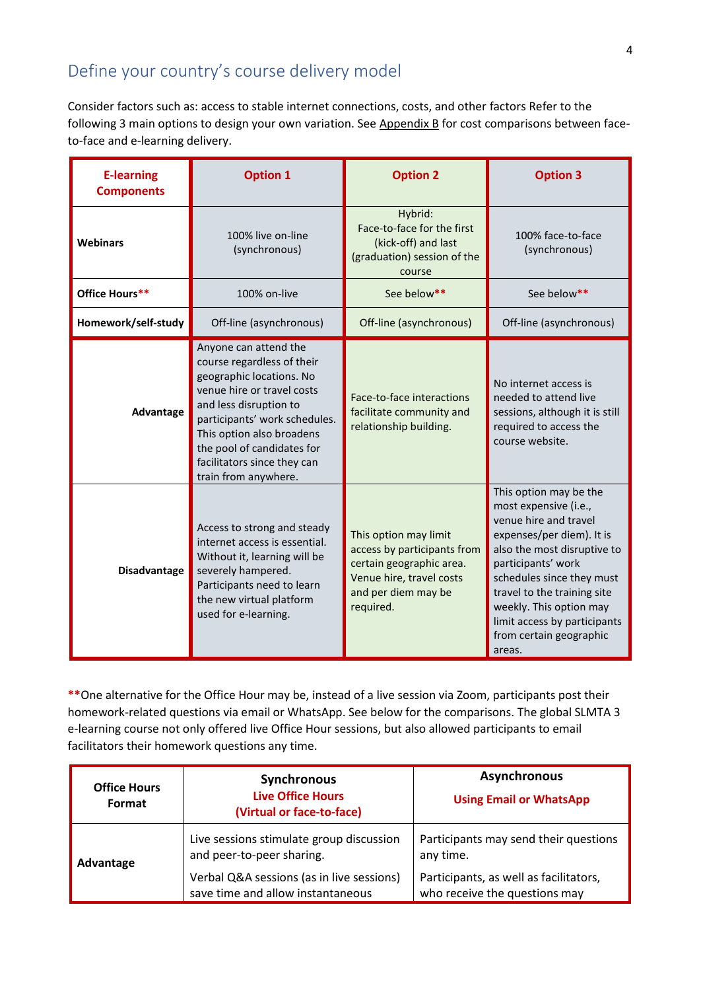### <span id="page-4-0"></span>Define your country's course delivery model

Consider factors such as: access to stable internet connections, costs, and other factors Refer to the following 3 main options to design your own variation. See Appendix B for cost comparisons between faceto-face and e-learning delivery.

| <b>E-learning</b><br><b>Components</b> | <b>Option 1</b>                                                                                                                                                                                                                                                                            | <b>Option 2</b>                                                                                                                                  | <b>Option 3</b>                                                                                                                                                                                                                                                                                                        |  |
|----------------------------------------|--------------------------------------------------------------------------------------------------------------------------------------------------------------------------------------------------------------------------------------------------------------------------------------------|--------------------------------------------------------------------------------------------------------------------------------------------------|------------------------------------------------------------------------------------------------------------------------------------------------------------------------------------------------------------------------------------------------------------------------------------------------------------------------|--|
| <b>Webinars</b>                        | 100% live on-line<br>(synchronous)                                                                                                                                                                                                                                                         | Hybrid:<br>Face-to-face for the first<br>(kick-off) and last<br>(graduation) session of the<br>course                                            | 100% face-to-face<br>(synchronous)                                                                                                                                                                                                                                                                                     |  |
| Office Hours**                         | 100% on-live                                                                                                                                                                                                                                                                               | See below**                                                                                                                                      | See below**                                                                                                                                                                                                                                                                                                            |  |
| Homework/self-study                    | Off-line (asynchronous)                                                                                                                                                                                                                                                                    | Off-line (asynchronous)                                                                                                                          | Off-line (asynchronous)                                                                                                                                                                                                                                                                                                |  |
| Advantage                              | Anyone can attend the<br>course regardless of their<br>geographic locations. No<br>venue hire or travel costs<br>and less disruption to<br>participants' work schedules.<br>This option also broadens<br>the pool of candidates for<br>facilitators since they can<br>train from anywhere. | Face-to-face interactions<br>facilitate community and<br>relationship building.                                                                  | No internet access is<br>needed to attend live<br>sessions, although it is still<br>required to access the<br>course website.                                                                                                                                                                                          |  |
| Disadvantage                           | Access to strong and steady<br>internet access is essential.<br>Without it, learning will be<br>severely hampered.<br>Participants need to learn<br>the new virtual platform<br>used for e-learning.                                                                                       | This option may limit<br>access by participants from<br>certain geographic area.<br>Venue hire, travel costs<br>and per diem may be<br>required. | This option may be the<br>most expensive (i.e.,<br>venue hire and travel<br>expenses/per diem). It is<br>also the most disruptive to<br>participants' work<br>schedules since they must<br>travel to the training site<br>weekly. This option may<br>limit access by participants<br>from certain geographic<br>areas. |  |

**\*\***One alternative for the Office Hour may be, instead of a live session via Zoom, participants post their homework-related questions via email or WhatsApp. See below for the comparisons. The global SLMTA 3 e-learning course not only offered live Office Hour sessions, but also allowed participants to email facilitators their homework questions any time.

| <b>Office Hours</b><br>Format | <b>Synchronous</b><br><b>Live Office Hours</b><br>(Virtual or face-to-face)    | <b>Asynchronous</b><br><b>Using Email or WhatsApp</b>                   |
|-------------------------------|--------------------------------------------------------------------------------|-------------------------------------------------------------------------|
| Advantage                     | Live sessions stimulate group discussion<br>and peer-to-peer sharing.          | Participants may send their questions<br>any time.                      |
|                               | Verbal Q&A sessions (as in live sessions)<br>save time and allow instantaneous | Participants, as well as facilitators,<br>who receive the questions may |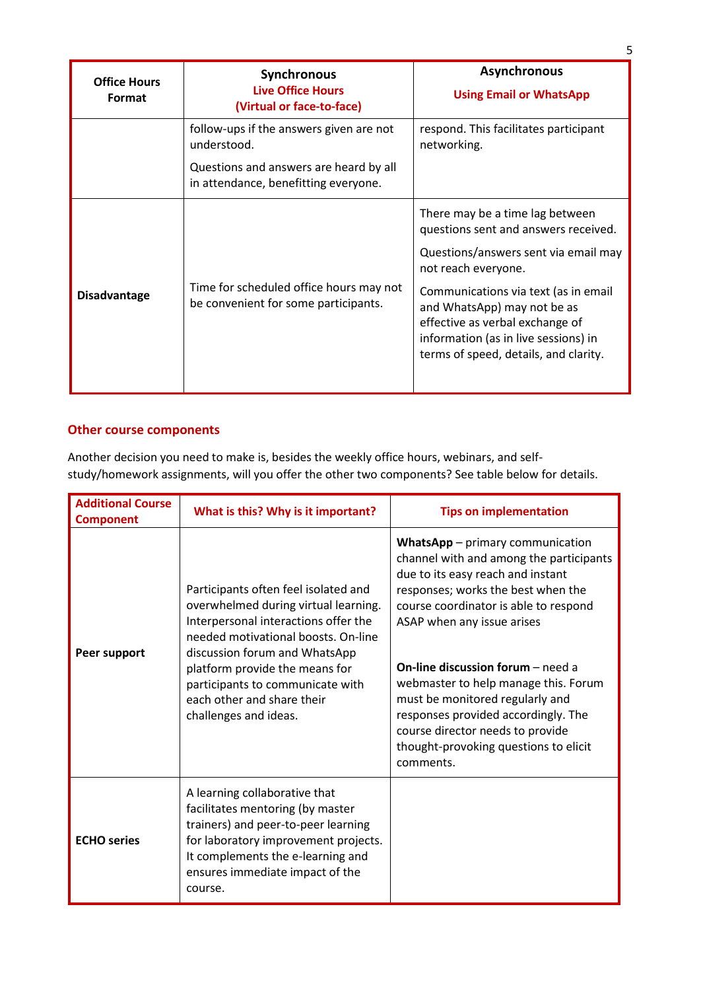| <b>Office Hours</b><br><b>Format</b> | <b>Synchronous</b><br><b>Live Office Hours</b><br>(Virtual or face-to-face)                                                              | <b>Asynchronous</b><br><b>Using Email or WhatsApp</b>                                                                                                                                                                                                                                                                             |
|--------------------------------------|------------------------------------------------------------------------------------------------------------------------------------------|-----------------------------------------------------------------------------------------------------------------------------------------------------------------------------------------------------------------------------------------------------------------------------------------------------------------------------------|
|                                      | follow-ups if the answers given are not<br>understood.<br>Questions and answers are heard by all<br>in attendance, benefitting everyone. | respond. This facilitates participant<br>networking.                                                                                                                                                                                                                                                                              |
| <b>Disadvantage</b>                  | Time for scheduled office hours may not<br>be convenient for some participants.                                                          | There may be a time lag between<br>questions sent and answers received.<br>Questions/answers sent via email may<br>not reach everyone.<br>Communications via text (as in email<br>and WhatsApp) may not be as<br>effective as verbal exchange of<br>information (as in live sessions) in<br>terms of speed, details, and clarity. |

#### **Other course components**

Another decision you need to make is, besides the weekly office hours, webinars, and selfstudy/homework assignments, will you offer the other two components? See table below for details.

| <b>Additional Course</b><br><b>Component</b> | What is this? Why is it important?                                                                                                                                                                                                                                                                                        | <b>Tips on implementation</b>                                                                                                                                                                                                                                                                                                                                                                                                                                                           |
|----------------------------------------------|---------------------------------------------------------------------------------------------------------------------------------------------------------------------------------------------------------------------------------------------------------------------------------------------------------------------------|-----------------------------------------------------------------------------------------------------------------------------------------------------------------------------------------------------------------------------------------------------------------------------------------------------------------------------------------------------------------------------------------------------------------------------------------------------------------------------------------|
| Peer support                                 | Participants often feel isolated and<br>overwhelmed during virtual learning.<br>Interpersonal interactions offer the<br>needed motivational boosts. On-line<br>discussion forum and WhatsApp<br>platform provide the means for<br>participants to communicate with<br>each other and share their<br>challenges and ideas. | WhatsApp - primary communication<br>channel with and among the participants<br>due to its easy reach and instant<br>responses; works the best when the<br>course coordinator is able to respond<br>ASAP when any issue arises<br><b>On-line discussion forum</b> $-$ need a<br>webmaster to help manage this. Forum<br>must be monitored regularly and<br>responses provided accordingly. The<br>course director needs to provide<br>thought-provoking questions to elicit<br>comments. |
| <b>ECHO</b> series                           | A learning collaborative that<br>facilitates mentoring (by master<br>trainers) and peer-to-peer learning<br>for laboratory improvement projects.<br>It complements the e-learning and<br>ensures immediate impact of the<br>course.                                                                                       |                                                                                                                                                                                                                                                                                                                                                                                                                                                                                         |

5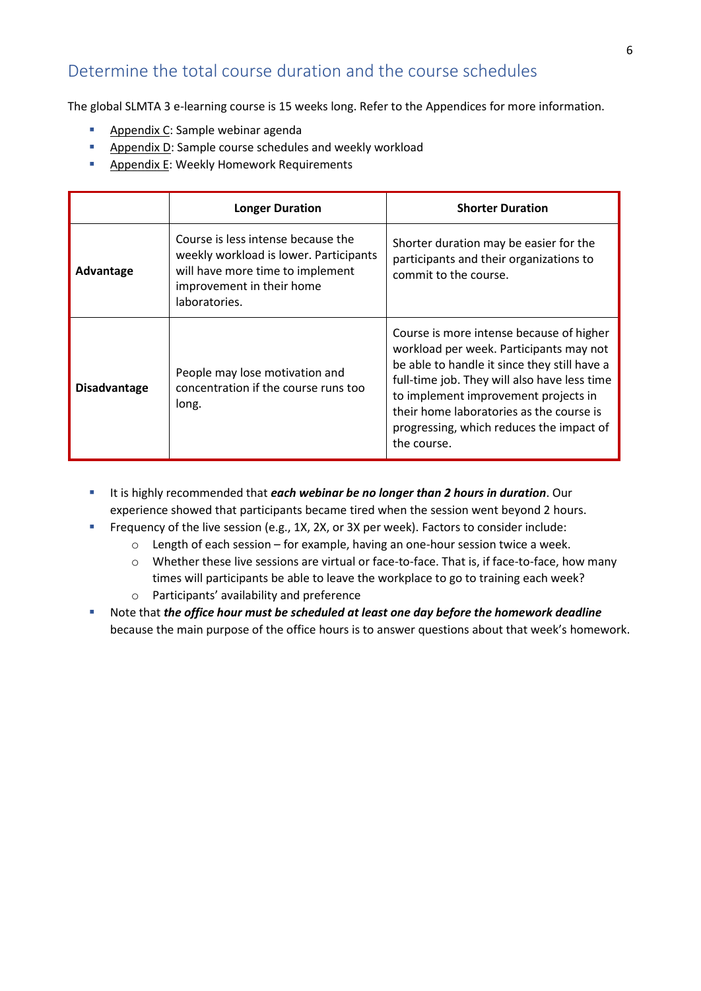### <span id="page-6-0"></span>Determine the total course duration and the course schedules

The global SLMTA 3 e-learning course is 15 weeks long. Refer to the Appendices for more information.

- Appendix C: Sample webinar agenda
- Appendix D: Sample course schedules and weekly workload
- Appendix E: Weekly Homework Requirements

|                     | <b>Longer Duration</b>                                                                                                                                         | <b>Shorter Duration</b>                                                                                                                                                                                                                                                                                                            |  |
|---------------------|----------------------------------------------------------------------------------------------------------------------------------------------------------------|------------------------------------------------------------------------------------------------------------------------------------------------------------------------------------------------------------------------------------------------------------------------------------------------------------------------------------|--|
| Advantage           | Course is less intense because the<br>weekly workload is lower. Participants<br>will have more time to implement<br>improvement in their home<br>laboratories. | Shorter duration may be easier for the<br>participants and their organizations to<br>commit to the course.                                                                                                                                                                                                                         |  |
| <b>Disadvantage</b> | People may lose motivation and<br>concentration if the course runs too<br>long.                                                                                | Course is more intense because of higher<br>workload per week. Participants may not<br>be able to handle it since they still have a<br>full-time job. They will also have less time<br>to implement improvement projects in<br>their home laboratories as the course is<br>progressing, which reduces the impact of<br>the course. |  |

- It is highly recommended that *each webinar be no longer than 2 hours in duration*. Our experience showed that participants became tired when the session went beyond 2 hours.
- **•** Frequency of the live session (e.g., 1X, 2X, or 3X per week). Factors to consider include:
	- o Length of each session for example, having an one-hour session twice a week.
	- o Whether these live sessions are virtual or face-to-face. That is, if face-to-face, how many times will participants be able to leave the workplace to go to training each week?
	- o Participants' availability and preference
- Note that *the office hour must be scheduled at least one day before the homework deadline* because the main purpose of the office hours is to answer questions about that week's homework.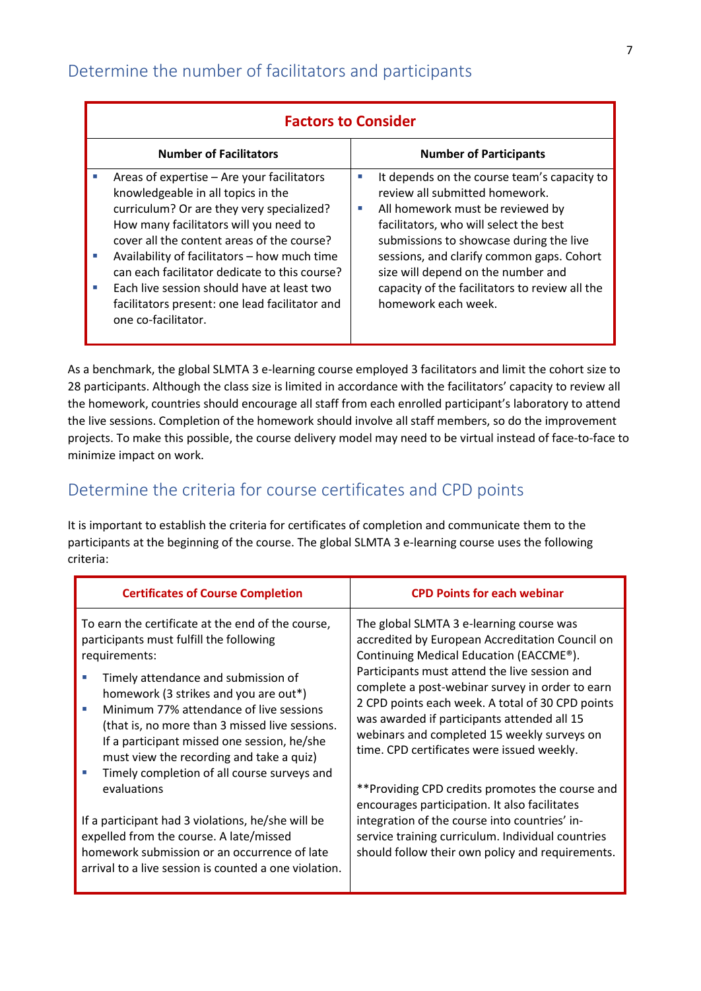<span id="page-7-0"></span>

| <b>Factors to Consider</b>                                                                                                                                                                                                                                                                                                                                                                                                                               |                                                                                                                                                                                                                                                                                                                                                                                |  |
|----------------------------------------------------------------------------------------------------------------------------------------------------------------------------------------------------------------------------------------------------------------------------------------------------------------------------------------------------------------------------------------------------------------------------------------------------------|--------------------------------------------------------------------------------------------------------------------------------------------------------------------------------------------------------------------------------------------------------------------------------------------------------------------------------------------------------------------------------|--|
| <b>Number of Facilitators</b>                                                                                                                                                                                                                                                                                                                                                                                                                            | <b>Number of Participants</b>                                                                                                                                                                                                                                                                                                                                                  |  |
| Areas of expertise - Are your facilitators<br>knowledgeable in all topics in the<br>curriculum? Or are they very specialized?<br>How many facilitators will you need to<br>cover all the content areas of the course?<br>Availability of facilitators - how much time<br>T.<br>can each facilitator dedicate to this course?<br>Each live session should have at least two<br>п<br>facilitators present: one lead facilitator and<br>one co-facilitator. | It depends on the course team's capacity to<br>×.<br>review all submitted homework.<br>All homework must be reviewed by<br>a.<br>facilitators, who will select the best<br>submissions to showcase during the live<br>sessions, and clarify common gaps. Cohort<br>size will depend on the number and<br>capacity of the facilitators to review all the<br>homework each week. |  |

As a benchmark, the global SLMTA 3 e-learning course employed 3 facilitators and limit the cohort size to 28 participants. Although the class size is limited in accordance with the facilitators' capacity to review all the homework, countries should encourage all staff from each enrolled participant's laboratory to attend the live sessions. Completion of the homework should involve all staff members, so do the improvement projects. To make this possible, the course delivery model may need to be virtual instead of face-to-face to minimize impact on work.

### <span id="page-7-1"></span>Determine the criteria for course certificates and CPD points

It is important to establish the criteria for certificates of completion and communicate them to the participants at the beginning of the course. The global SLMTA 3 e-learning course uses the following criteria:

| <b>Certificates of Course Completion</b>                                                                                                                                                                                                                                                                                                                                                                                             | <b>CPD Points for each webinar</b>                                                                                                                                                                                                                                                                                                                                                                                                         |
|--------------------------------------------------------------------------------------------------------------------------------------------------------------------------------------------------------------------------------------------------------------------------------------------------------------------------------------------------------------------------------------------------------------------------------------|--------------------------------------------------------------------------------------------------------------------------------------------------------------------------------------------------------------------------------------------------------------------------------------------------------------------------------------------------------------------------------------------------------------------------------------------|
| To earn the certificate at the end of the course,<br>participants must fulfill the following<br>requirements:<br>Timely attendance and submission of<br>homework (3 strikes and you are out*)<br>Minimum 77% attendance of live sessions<br>(that is, no more than 3 missed live sessions.<br>If a participant missed one session, he/she<br>must view the recording and take a quiz)<br>Timely completion of all course surveys and | The global SLMTA 3 e-learning course was<br>accredited by European Accreditation Council on<br>Continuing Medical Education (EACCME®).<br>Participants must attend the live session and<br>complete a post-webinar survey in order to earn<br>2 CPD points each week. A total of 30 CPD points<br>was awarded if participants attended all 15<br>webinars and completed 15 weekly surveys on<br>time. CPD certificates were issued weekly. |
| evaluations<br>If a participant had 3 violations, he/she will be<br>expelled from the course. A late/missed<br>homework submission or an occurrence of late<br>arrival to a live session is counted a one violation.                                                                                                                                                                                                                 | **Providing CPD credits promotes the course and<br>encourages participation. It also facilitates<br>integration of the course into countries' in-<br>service training curriculum. Individual countries<br>should follow their own policy and requirements.                                                                                                                                                                                 |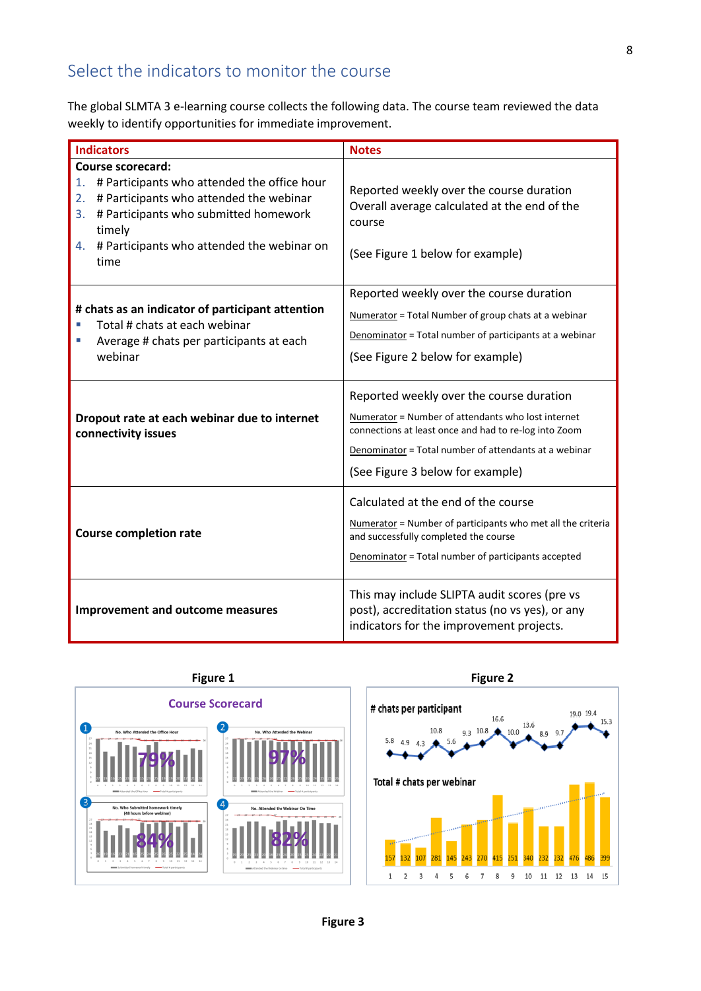### <span id="page-8-0"></span>Select the indicators to monitor the course

The global SLMTA 3 e-learning course collects the following data. The course team reviewed the data weekly to identify opportunities for immediate improvement.

| <b>Indicators</b>                                                                                                                                                                                                                            | <b>Notes</b>                                                                                                                                                                                                                                         |  |
|----------------------------------------------------------------------------------------------------------------------------------------------------------------------------------------------------------------------------------------------|------------------------------------------------------------------------------------------------------------------------------------------------------------------------------------------------------------------------------------------------------|--|
| Course scorecard:<br># Participants who attended the office hour<br>1.<br># Participants who attended the webinar<br>2.<br># Participants who submitted homework<br>3.<br>timely<br># Participants who attended the webinar on<br>4.<br>time | Reported weekly over the course duration<br>Overall average calculated at the end of the<br>course<br>(See Figure 1 below for example)                                                                                                               |  |
| # chats as an indicator of participant attention<br>Total # chats at each webinar<br>Average # chats per participants at each<br>×.<br>webinar                                                                                               | Reported weekly over the course duration<br>Numerator = Total Number of group chats at a webinar<br>Denominator = Total number of participants at a webinar<br>(See Figure 2 below for example)                                                      |  |
| Dropout rate at each webinar due to internet<br>connectivity issues                                                                                                                                                                          | Reported weekly over the course duration<br>Numerator = Number of attendants who lost internet<br>connections at least once and had to re-log into Zoom<br>Denominator = Total number of attendants at a webinar<br>(See Figure 3 below for example) |  |
| <b>Course completion rate</b>                                                                                                                                                                                                                | Calculated at the end of the course<br>Numerator = Number of participants who met all the criteria<br>and successfully completed the course<br>Denominator = Total number of participants accepted                                                   |  |
| <b>Improvement and outcome measures</b>                                                                                                                                                                                                      | This may include SLIPTA audit scores (pre vs<br>post), accreditation status (no vs yes), or any<br>indicators for the improvement projects.                                                                                                          |  |



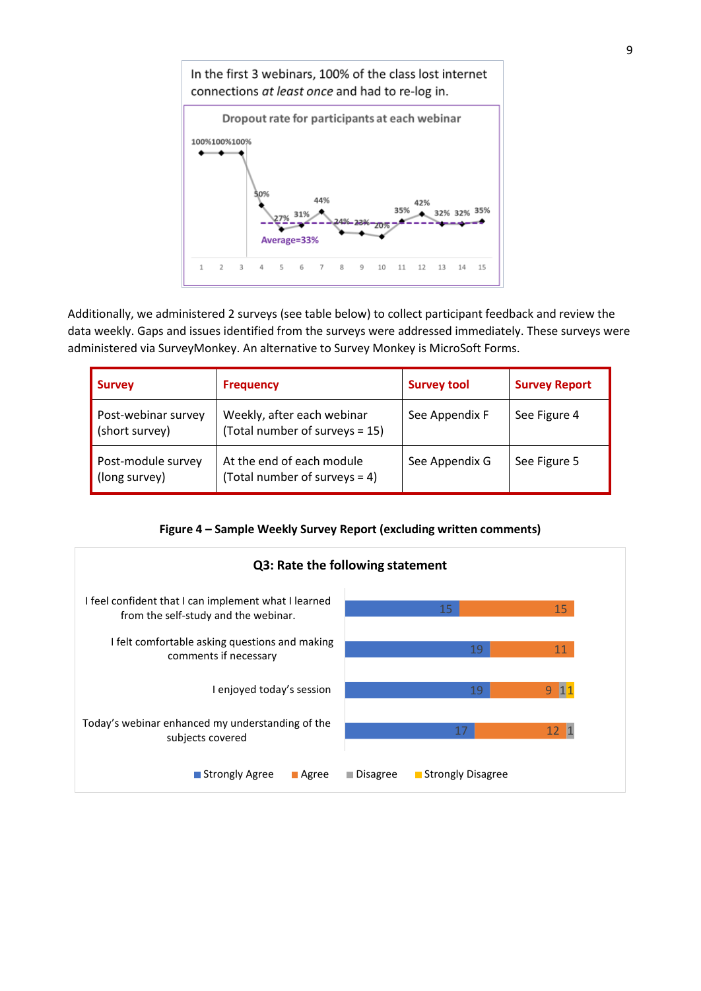

Additionally, we administered 2 surveys (see table below) to collect participant feedback and review the data weekly. Gaps and issues identified from the surveys were addressed immediately. These surveys were administered via SurveyMonkey. An alternative to Survey Monkey is MicroSoft Forms.

| <b>Survey</b>                         | <b>Frequency</b>                                              | <b>Survey tool</b> | <b>Survey Report</b> |
|---------------------------------------|---------------------------------------------------------------|--------------------|----------------------|
| Post-webinar survey<br>(short survey) | Weekly, after each webinar<br>(Total number of surveys = 15)  | See Appendix F     | See Figure 4         |
| Post-module survey<br>(long survey)   | At the end of each module<br>(Total number of surveys $= 4$ ) | See Appendix G     | See Figure 5         |

#### **Figure 4 – Sample Weekly Survey Report (excluding written comments)**

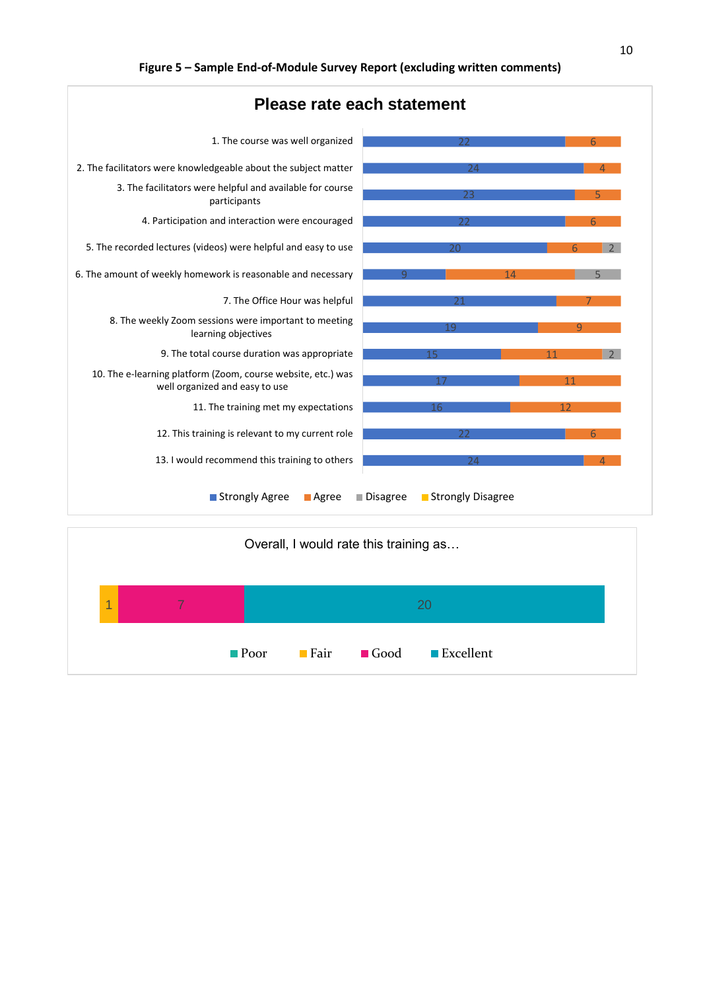

|   |  |                     | Overall, I would rate this training as |                |  |
|---|--|---------------------|----------------------------------------|----------------|--|
| 4 |  |                     |                                        | 20             |  |
|   |  | $\blacksquare$ Poor | <b>■ Fair</b>                          | Good Excellent |  |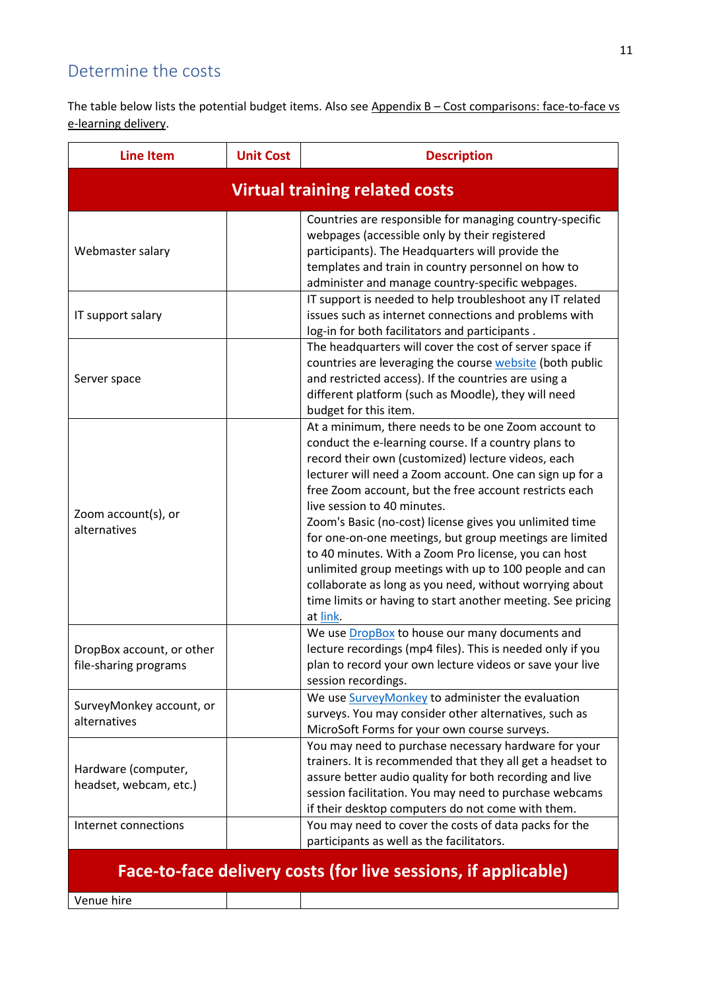### <span id="page-11-0"></span>Determine the costs

The table below lists the potential budget items. Also see Appendix B - Cost comparisons: face-to-face vs e-learning delivery.

| <b>Line Item</b>                                               | <b>Unit Cost</b> | <b>Description</b>                                                                                                                                                                                                                                                                                                                                                                                                                                                                                                                                                                                                                                                                                   |  |  |  |  |
|----------------------------------------------------------------|------------------|------------------------------------------------------------------------------------------------------------------------------------------------------------------------------------------------------------------------------------------------------------------------------------------------------------------------------------------------------------------------------------------------------------------------------------------------------------------------------------------------------------------------------------------------------------------------------------------------------------------------------------------------------------------------------------------------------|--|--|--|--|
| <b>Virtual training related costs</b>                          |                  |                                                                                                                                                                                                                                                                                                                                                                                                                                                                                                                                                                                                                                                                                                      |  |  |  |  |
| Webmaster salary                                               |                  | Countries are responsible for managing country-specific<br>webpages (accessible only by their registered<br>participants). The Headquarters will provide the<br>templates and train in country personnel on how to<br>administer and manage country-specific webpages.                                                                                                                                                                                                                                                                                                                                                                                                                               |  |  |  |  |
| IT support salary                                              |                  | IT support is needed to help troubleshoot any IT related<br>issues such as internet connections and problems with<br>log-in for both facilitators and participants.                                                                                                                                                                                                                                                                                                                                                                                                                                                                                                                                  |  |  |  |  |
| Server space                                                   |                  | The headquarters will cover the cost of server space if<br>countries are leveraging the course website (both public<br>and restricted access). If the countries are using a<br>different platform (such as Moodle), they will need<br>budget for this item.                                                                                                                                                                                                                                                                                                                                                                                                                                          |  |  |  |  |
| Zoom account(s), or<br>alternatives                            |                  | At a minimum, there needs to be one Zoom account to<br>conduct the e-learning course. If a country plans to<br>record their own (customized) lecture videos, each<br>lecturer will need a Zoom account. One can sign up for a<br>free Zoom account, but the free account restricts each<br>live session to 40 minutes.<br>Zoom's Basic (no-cost) license gives you unlimited time<br>for one-on-one meetings, but group meetings are limited<br>to 40 minutes. With a Zoom Pro license, you can host<br>unlimited group meetings with up to 100 people and can<br>collaborate as long as you need, without worrying about<br>time limits or having to start another meeting. See pricing<br>at link. |  |  |  |  |
| DropBox account, or other<br>file-sharing programs             |                  | We use DropBox to house our many documents and<br>lecture recordings (mp4 files). This is needed only if you<br>plan to record your own lecture videos or save your live<br>session recordings.                                                                                                                                                                                                                                                                                                                                                                                                                                                                                                      |  |  |  |  |
| SurveyMonkey account, or<br>alternatives                       |                  | We use SurveyMonkey to administer the evaluation<br>surveys. You may consider other alternatives, such as<br>MicroSoft Forms for your own course surveys.                                                                                                                                                                                                                                                                                                                                                                                                                                                                                                                                            |  |  |  |  |
| Hardware (computer,<br>headset, webcam, etc.)                  |                  | You may need to purchase necessary hardware for your<br>trainers. It is recommended that they all get a headset to<br>assure better audio quality for both recording and live<br>session facilitation. You may need to purchase webcams<br>if their desktop computers do not come with them.                                                                                                                                                                                                                                                                                                                                                                                                         |  |  |  |  |
| Internet connections                                           |                  | You may need to cover the costs of data packs for the<br>participants as well as the facilitators.                                                                                                                                                                                                                                                                                                                                                                                                                                                                                                                                                                                                   |  |  |  |  |
| Face-to-face delivery costs (for live sessions, if applicable) |                  |                                                                                                                                                                                                                                                                                                                                                                                                                                                                                                                                                                                                                                                                                                      |  |  |  |  |

Venue hire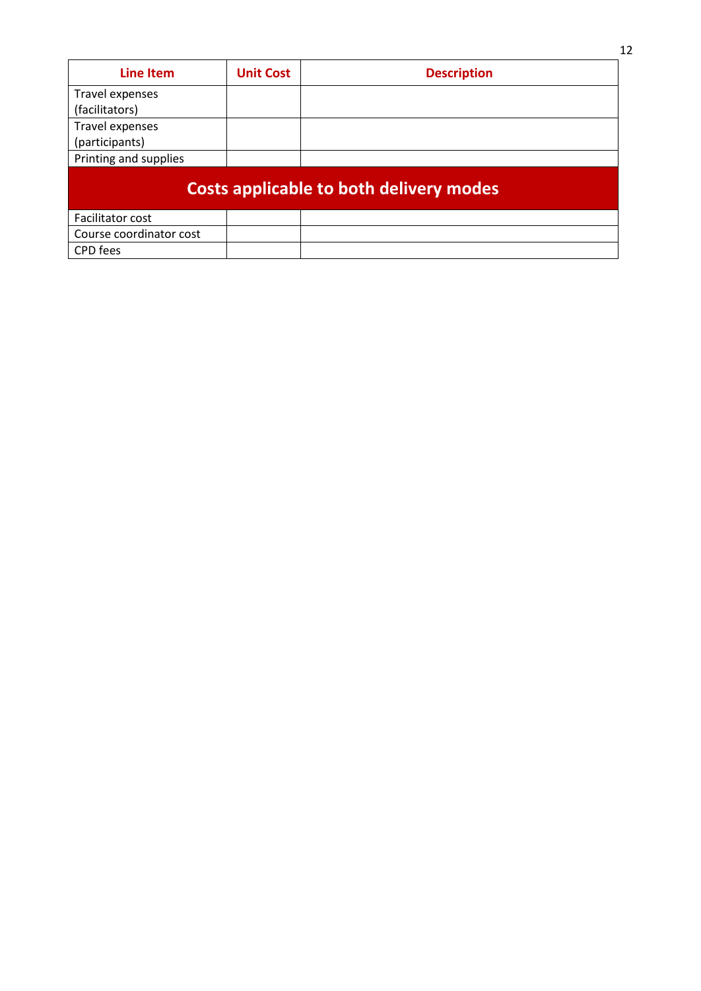| <b>Line Item</b>        | <b>Unit Cost</b> | <b>Description</b>                      |
|-------------------------|------------------|-----------------------------------------|
| Travel expenses         |                  |                                         |
| (facilitators)          |                  |                                         |
| Travel expenses         |                  |                                         |
| (participants)          |                  |                                         |
| Printing and supplies   |                  |                                         |
|                         |                  | Costs applicable to both delivery modes |
| Facilitator cost        |                  |                                         |
| Course coordinator cost |                  |                                         |
| <b>CPD</b> fees         |                  |                                         |

12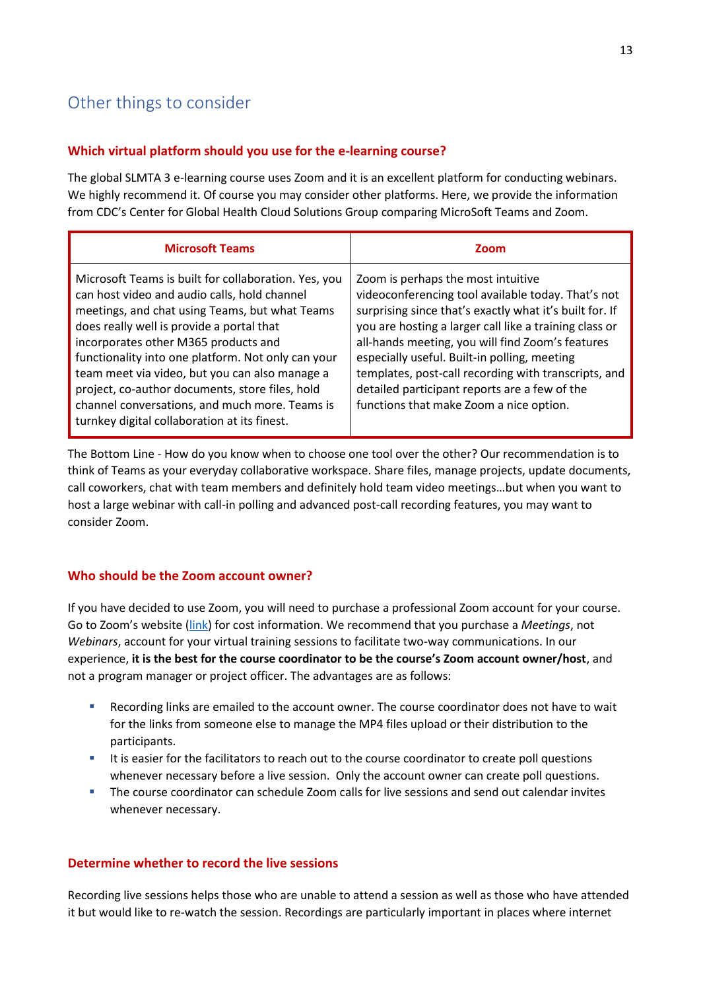### <span id="page-13-0"></span>Other things to consider

#### **Which virtual platform should you use for the e-learning course?**

The global SLMTA 3 e-learning course uses Zoom and it is an excellent platform for conducting webinars. We highly recommend it. Of course you may consider other platforms. Here, we provide the information from CDC's Center for Global Health Cloud Solutions Group comparing MicroSoft Teams and Zoom.

| <b>Microsoft Teams</b>                                                                                                                                                                                                                                                                                                                                                                                                                                                                                   | Zoom                                                                                                                                                                                                                                                                                                                                                                                                                                                                  |
|----------------------------------------------------------------------------------------------------------------------------------------------------------------------------------------------------------------------------------------------------------------------------------------------------------------------------------------------------------------------------------------------------------------------------------------------------------------------------------------------------------|-----------------------------------------------------------------------------------------------------------------------------------------------------------------------------------------------------------------------------------------------------------------------------------------------------------------------------------------------------------------------------------------------------------------------------------------------------------------------|
| Microsoft Teams is built for collaboration. Yes, you<br>can host video and audio calls, hold channel<br>meetings, and chat using Teams, but what Teams<br>does really well is provide a portal that<br>incorporates other M365 products and<br>functionality into one platform. Not only can your<br>team meet via video, but you can also manage a<br>project, co-author documents, store files, hold<br>channel conversations, and much more. Teams is<br>turnkey digital collaboration at its finest. | Zoom is perhaps the most intuitive<br>videoconferencing tool available today. That's not<br>surprising since that's exactly what it's built for. If<br>you are hosting a larger call like a training class or<br>all-hands meeting, you will find Zoom's features<br>especially useful. Built-in polling, meeting<br>templates, post-call recording with transcripts, and<br>detailed participant reports are a few of the<br>functions that make Zoom a nice option. |

The Bottom Line - How do you know when to choose one tool over the other? Our recommendation is to think of Teams as your everyday collaborative workspace. Share files, manage projects, update documents, call coworkers, chat with team members and definitely hold team video meetings…but when you want to host a large webinar with call-in polling and advanced post-call recording features, you may want to consider Zoom.

#### **Who should be the Zoom account owner?**

If you have decided to use Zoom, you will need to purchase a professional Zoom account for your course. Go to Zoom's website [\(link\)](https://zoom.us/pricing) for cost information. We recommend that you purchase a *Meetings*, not *Webinars*, account for your virtual training sessions to facilitate two-way communications. In our experience, **it is the best for the course coordinator to be the course's Zoom account owner/host**, and not a program manager or project officer. The advantages are as follows:

- Recording links are emailed to the account owner. The course coordinator does not have to wait for the links from someone else to manage the MP4 files upload or their distribution to the participants.
- **■** It is easier for the facilitators to reach out to the course coordinator to create poll questions whenever necessary before a live session. Only the account owner can create poll questions.
- The course coordinator can schedule Zoom calls for live sessions and send out calendar invites whenever necessary.

#### **Determine whether to record the live sessions**

Recording live sessions helps those who are unable to attend a session as well as those who have attended it but would like to re-watch the session. Recordings are particularly important in places where internet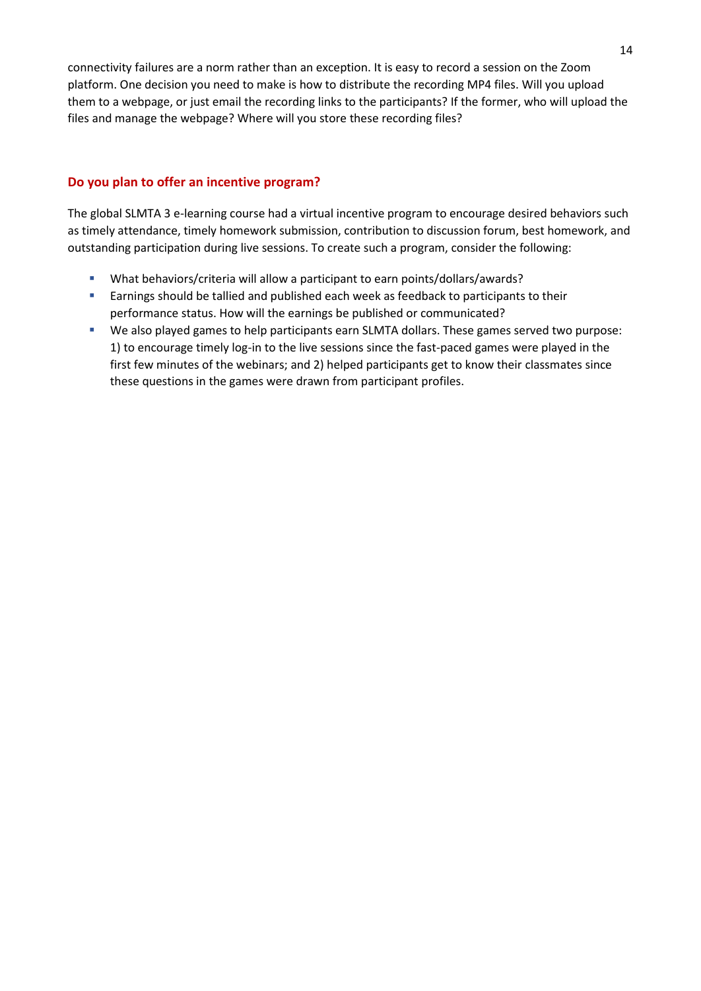connectivity failures are a norm rather than an exception. It is easy to record a session on the Zoom platform. One decision you need to make is how to distribute the recording MP4 files. Will you upload them to a webpage, or just email the recording links to the participants? If the former, who will upload the files and manage the webpage? Where will you store these recording files?

#### **Do you plan to offer an incentive program?**

The global SLMTA 3 e-learning course had a virtual incentive program to encourage desired behaviors such as timely attendance, timely homework submission, contribution to discussion forum, best homework, and outstanding participation during live sessions. To create such a program, consider the following:

- What behaviors/criteria will allow a participant to earn points/dollars/awards?
- **Earnings should be tallied and published each week as feedback to participants to their** performance status. How will the earnings be published or communicated?
- We also played games to help participants earn SLMTA dollars. These games served two purpose: 1) to encourage timely log-in to the live sessions since the fast-paced games were played in the first few minutes of the webinars; and 2) helped participants get to know their classmates since these questions in the games were drawn from participant profiles.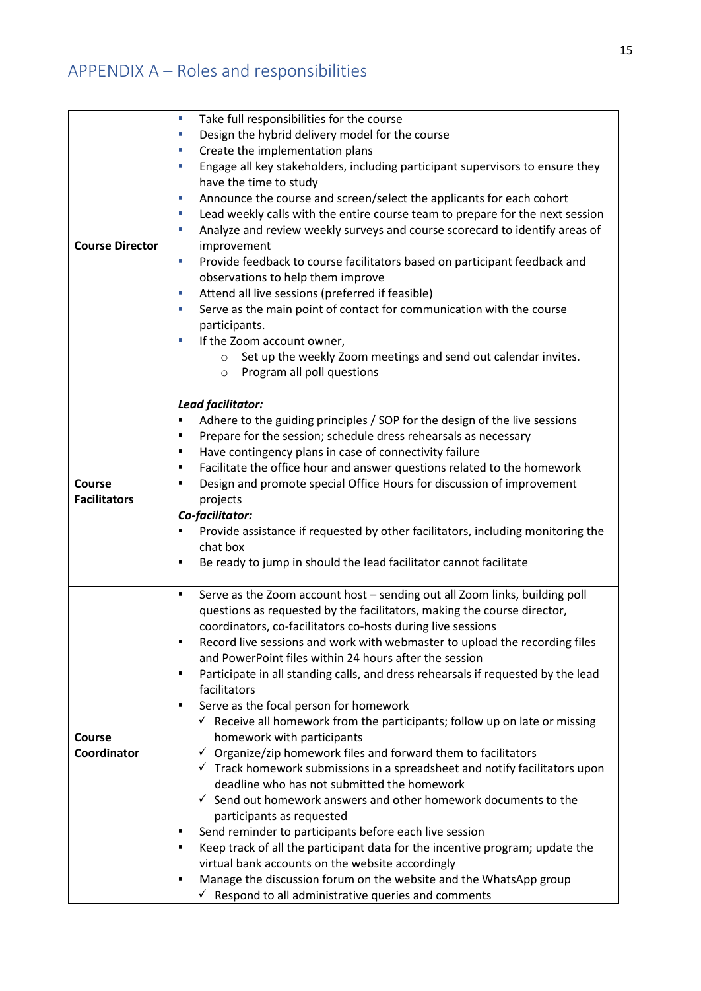# <span id="page-15-0"></span>APPENDIX A – Roles and responsibilities

| <b>Course Director</b>               | Take full responsibilities for the course<br>Ì,<br>Design the hybrid delivery model for the course<br>T,<br>Create the implementation plans<br>T,<br>Engage all key stakeholders, including participant supervisors to ensure they<br>T,<br>have the time to study<br>Announce the course and screen/select the applicants for each cohort<br>U,<br>Lead weekly calls with the entire course team to prepare for the next session<br>T,<br>Analyze and review weekly surveys and course scorecard to identify areas of<br>T,<br>improvement<br>Provide feedback to course facilitators based on participant feedback and<br>T,<br>observations to help them improve<br>Attend all live sessions (preferred if feasible)<br>T,<br>Serve as the main point of contact for communication with the course<br>T,<br>participants.<br>If the Zoom account owner,<br>T,<br>Set up the weekly Zoom meetings and send out calendar invites.<br>$\circ$<br>Program all poll questions<br>O                                                                                                                                                                                                                                                                                                                                                      |
|--------------------------------------|---------------------------------------------------------------------------------------------------------------------------------------------------------------------------------------------------------------------------------------------------------------------------------------------------------------------------------------------------------------------------------------------------------------------------------------------------------------------------------------------------------------------------------------------------------------------------------------------------------------------------------------------------------------------------------------------------------------------------------------------------------------------------------------------------------------------------------------------------------------------------------------------------------------------------------------------------------------------------------------------------------------------------------------------------------------------------------------------------------------------------------------------------------------------------------------------------------------------------------------------------------------------------------------------------------------------------------------|
| <b>Course</b><br><b>Facilitators</b> | Lead facilitator:<br>Adhere to the guiding principles / SOP for the design of the live sessions<br>٠<br>Prepare for the session; schedule dress rehearsals as necessary<br>٠<br>Have contingency plans in case of connectivity failure<br>٠<br>Facilitate the office hour and answer questions related to the homework<br>٠<br>Design and promote special Office Hours for discussion of improvement<br>п<br>projects<br>Co-facilitator:<br>Provide assistance if requested by other facilitators, including monitoring the<br>п<br>chat box<br>Be ready to jump in should the lead facilitator cannot facilitate<br>٠                                                                                                                                                                                                                                                                                                                                                                                                                                                                                                                                                                                                                                                                                                                |
| Course<br>Coordinator                | Serve as the Zoom account host - sending out all Zoom links, building poll<br>п<br>questions as requested by the facilitators, making the course director,<br>coordinators, co-facilitators co-hosts during live sessions<br>Record live sessions and work with webmaster to upload the recording files<br>and PowerPoint files within 24 hours after the session<br>Participate in all standing calls, and dress rehearsals if requested by the lead<br>٠<br>facilitators<br>Serve as the focal person for homework<br>п<br>$\checkmark$ Receive all homework from the participants; follow up on late or missing<br>homework with participants<br>$\checkmark$ Organize/zip homework files and forward them to facilitators<br>$\checkmark$ Track homework submissions in a spreadsheet and notify facilitators upon<br>deadline who has not submitted the homework<br>$\checkmark$ Send out homework answers and other homework documents to the<br>participants as requested<br>Send reminder to participants before each live session<br>п<br>Keep track of all the participant data for the incentive program; update the<br>п<br>virtual bank accounts on the website accordingly<br>Manage the discussion forum on the website and the WhatsApp group<br>п<br>$\checkmark$ Respond to all administrative queries and comments |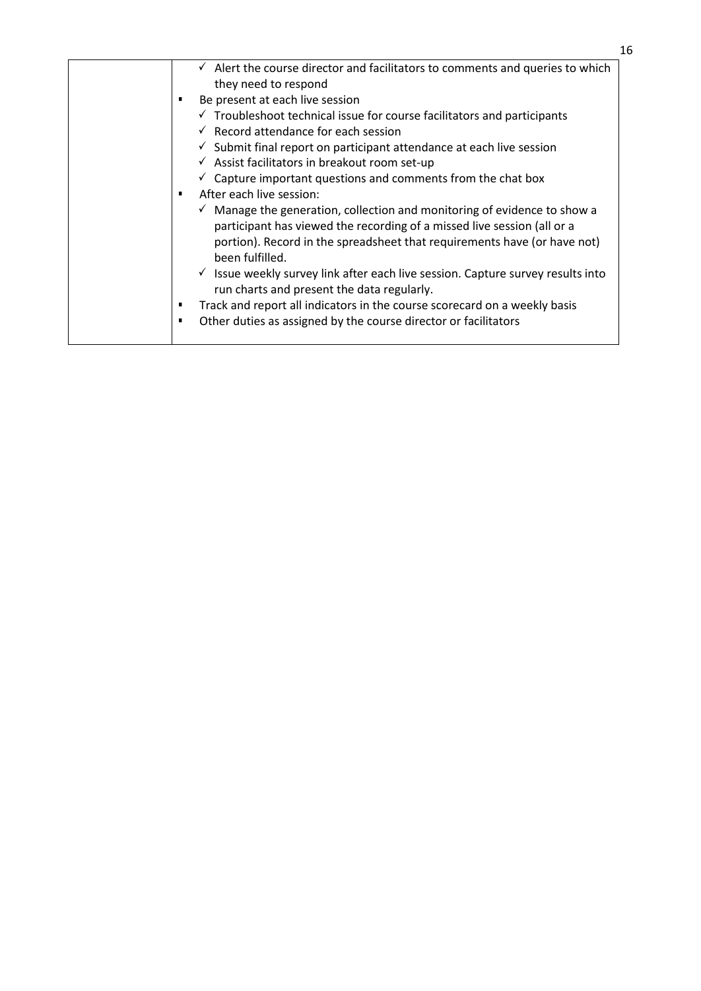| $\checkmark$ Alert the course director and facilitators to comments and queries to which   |
|--------------------------------------------------------------------------------------------|
| they need to respond                                                                       |
| Be present at each live session                                                            |
| $\checkmark$ Troubleshoot technical issue for course facilitators and participants         |
| $\checkmark$ Record attendance for each session                                            |
| $\checkmark$ Submit final report on participant attendance at each live session            |
| $\checkmark$ Assist facilitators in breakout room set-up                                   |
| $\checkmark$ Capture important questions and comments from the chat box                    |
| After each live session:<br>٠                                                              |
| $\checkmark$ Manage the generation, collection and monitoring of evidence to show a        |
| participant has viewed the recording of a missed live session (all or a                    |
| portion). Record in the spreadsheet that requirements have (or have not)                   |
| been fulfilled.                                                                            |
| $\checkmark$ Issue weekly survey link after each live session. Capture survey results into |
| run charts and present the data regularly.                                                 |
| Track and report all indicators in the course scorecard on a weekly basis<br>п             |
| Other duties as assigned by the course director or facilitators<br>٠                       |
|                                                                                            |
|                                                                                            |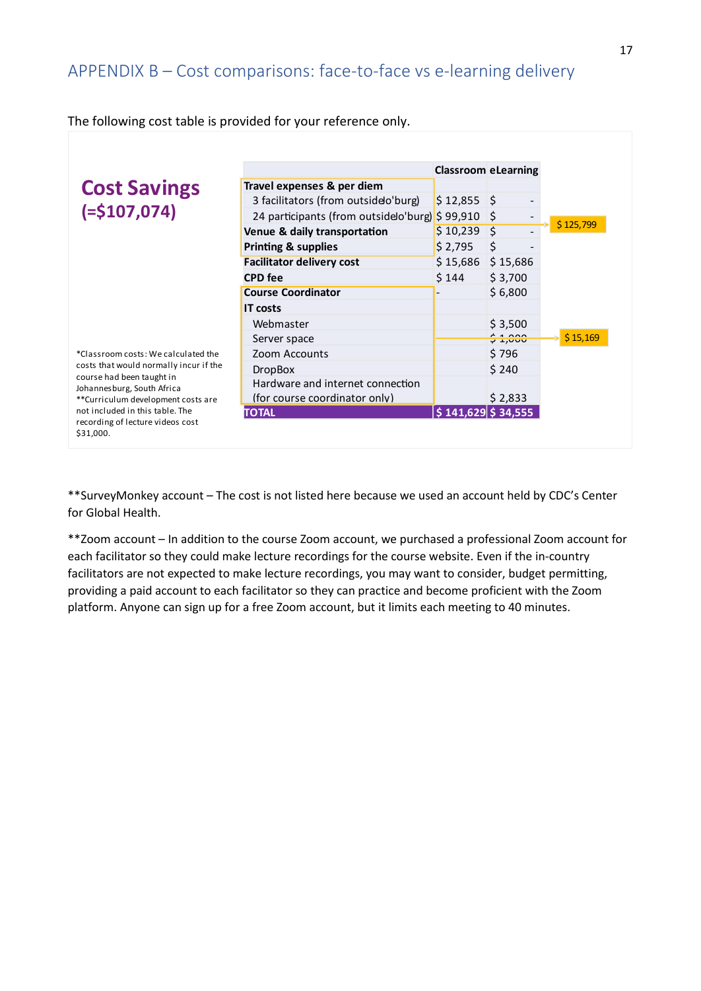#### <span id="page-17-0"></span>APPENDIX B – Cost comparisons: face-to-face vs e-learning delivery

|                                                         | The Tonoming cost table is provided for your reference only. |                            |          |           |
|---------------------------------------------------------|--------------------------------------------------------------|----------------------------|----------|-----------|
|                                                         |                                                              |                            |          |           |
|                                                         |                                                              | <b>Classroom eLearning</b> |          |           |
| <b>Cost Savings</b>                                     | Travel expenses & per diem                                   |                            |          |           |
|                                                         | 3 facilitators (from outside o'burg)                         | $$12,855$ \$               |          |           |
| $( = $107,074)$                                         | 24 participants (from outside o'burg) \$99,910 \$            |                            |          |           |
|                                                         | Venue & daily transportation                                 | \$10,239                   | Ś.       | \$125,799 |
|                                                         | <b>Printing &amp; supplies</b>                               | \$2,795                    | \$       |           |
|                                                         | <b>Facilitator delivery cost</b>                             | \$15,686                   | \$15,686 |           |
|                                                         | <b>CPD</b> fee                                               | \$144                      | \$3,700  |           |
|                                                         | <b>Course Coordinator</b>                                    |                            | \$6,800  |           |
|                                                         | <b>IT costs</b>                                              |                            |          |           |
|                                                         | Webmaster                                                    |                            | \$3,500  |           |
|                                                         | Server space                                                 |                            | 2.000    | \$15,169  |
| *Classroom costs: We calculated the                     | Zoom Accounts                                                |                            | \$796    |           |
| costs that would normally incur if the                  | <b>DropBox</b>                                               |                            | \$240    |           |
| course had been taught in<br>Johannesburg, South Africa | Hardware and internet connection                             |                            |          |           |
| **Curriculum development costs are                      | (for course coordinator only)                                |                            | \$2,833  |           |
| not included in this table. The                         | <b>TOTAL</b>                                                 | $$141,629$ $$34,555$       |          |           |
| recording of lecture videos cost<br>\$31,000.           |                                                              |                            |          |           |
|                                                         |                                                              |                            |          |           |

The following cost table is provided for your reference only.

\*\*SurveyMonkey account – The cost is not listed here because we used an account held by CDC's Center for Global Health.

\*\*Zoom account – In addition to the course Zoom account, we purchased a professional Zoom account for each facilitator so they could make lecture recordings for the course website. Even if the in-country facilitators are not expected to make lecture recordings, you may want to consider, budget permitting, providing a paid account to each facilitator so they can practice and become proficient with the Zoom platform. Anyone can sign up for a free Zoom account, but it limits each meeting to 40 minutes.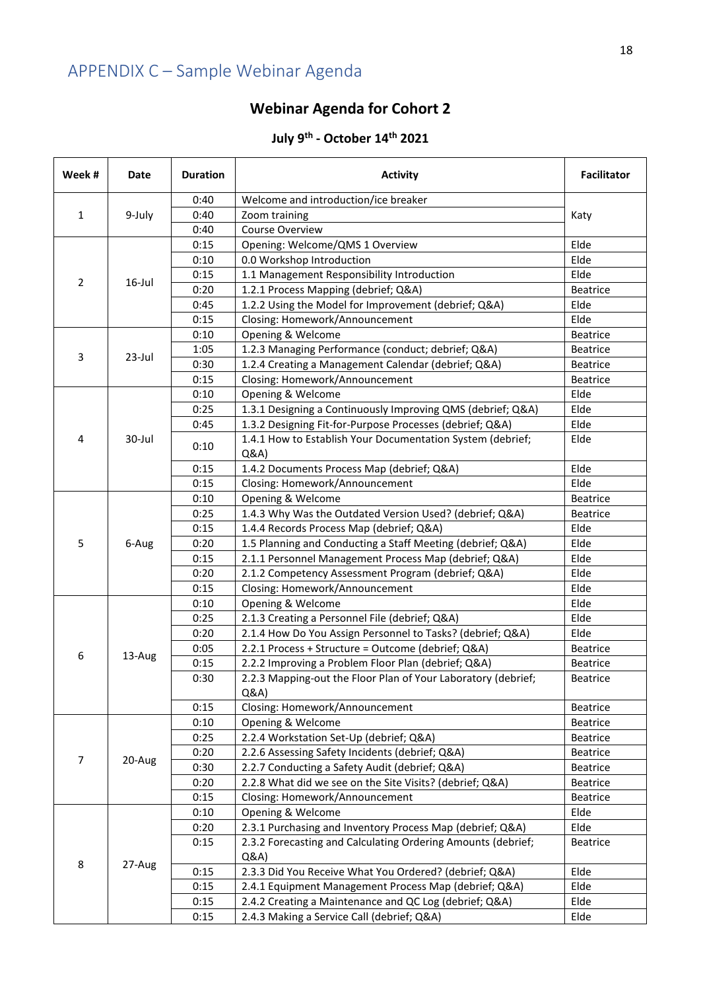# <span id="page-18-0"></span>APPENDIX C – Sample Webinar Agenda

### **Webinar Agenda for Cohort 2**

#### **July 9 th - October 14th 2021**

| Week #         | Date   | <b>Duration</b> | <b>Activity</b>                                                   | <b>Facilitator</b>                         |      |
|----------------|--------|-----------------|-------------------------------------------------------------------|--------------------------------------------|------|
|                |        | 0:40            | Welcome and introduction/ice breaker                              |                                            |      |
| 1              | 9-July | 0:40            | Zoom training                                                     | Katy                                       |      |
|                |        | 0:40            | Course Overview                                                   |                                            |      |
|                |        | 0:15            | Opening: Welcome/QMS 1 Overview                                   | Elde                                       |      |
|                |        | 0:10            | 0.0 Workshop Introduction                                         | Elde                                       |      |
| $\overline{2}$ | 16-Jul | 0:15            | 1.1 Management Responsibility Introduction                        | Elde                                       |      |
|                |        | 0:20            | 1.2.1 Process Mapping (debrief; Q&A)                              | <b>Beatrice</b>                            |      |
|                |        | 0:45            | 1.2.2 Using the Model for Improvement (debrief; Q&A)              | Elde                                       |      |
|                |        | 0:15            | Closing: Homework/Announcement                                    | Elde                                       |      |
|                |        | 0:10            | Opening & Welcome                                                 | Beatrice                                   |      |
|                |        | 1:05            | 1.2.3 Managing Performance (conduct; debrief; Q&A)                | Beatrice                                   |      |
| 3              | 23-Jul | 0:30            | 1.2.4 Creating a Management Calendar (debrief; Q&A)               | Beatrice                                   |      |
|                |        | 0:15            | Closing: Homework/Announcement                                    | Beatrice                                   |      |
|                |        | 0:10            | Opening & Welcome                                                 | Elde                                       |      |
|                |        | 0:25            | 1.3.1 Designing a Continuously Improving QMS (debrief; Q&A)       | Elde                                       |      |
|                |        | 0:45            | 1.3.2 Designing Fit-for-Purpose Processes (debrief; Q&A)          | Elde                                       |      |
| 4              | 30-Jul | 0:10            | 1.4.1 How to Establish Your Documentation System (debrief;<br>Q&A | Elde                                       |      |
|                |        |                 | 0:15                                                              | 1.4.2 Documents Process Map (debrief; Q&A) | Elde |
|                |        | 0:15            | Closing: Homework/Announcement                                    | Elde                                       |      |
|                |        | 0:10            | Opening & Welcome                                                 | <b>Beatrice</b>                            |      |
|                |        | 0:25            | 1.4.3 Why Was the Outdated Version Used? (debrief; Q&A)           | <b>Beatrice</b>                            |      |
|                |        | 0:15            | 1.4.4 Records Process Map (debrief; Q&A)                          | Elde                                       |      |
| 5              | 6-Aug  | 0:20            | 1.5 Planning and Conducting a Staff Meeting (debrief; Q&A)        | Elde                                       |      |
|                |        | 0:15            | 2.1.1 Personnel Management Process Map (debrief; Q&A)             | Elde                                       |      |
|                |        | 0:20            | 2.1.2 Competency Assessment Program (debrief; Q&A)                | Elde                                       |      |
|                |        | 0:15            | Closing: Homework/Announcement                                    | Elde                                       |      |
|                |        | 0:10            | Opening & Welcome                                                 | Elde                                       |      |
|                | 13-Aug | 0:25            | 2.1.3 Creating a Personnel File (debrief; Q&A)                    | Elde                                       |      |
|                |        | 0:20            | 2.1.4 How Do You Assign Personnel to Tasks? (debrief; Q&A)        | Elde                                       |      |
|                |        | 0:05            | 2.2.1 Process + Structure = Outcome (debrief; Q&A)                | Beatrice                                   |      |
| 6              |        | 0:15            | 2.2.2 Improving a Problem Floor Plan (debrief; Q&A)               | Beatrice                                   |      |
|                |        | 0:30            | 2.2.3 Mapping-out the Floor Plan of Your Laboratory (debrief;     | Beatrice                                   |      |
|                |        |                 | Q&A                                                               |                                            |      |
|                |        | 0:15            | Closing: Homework/Announcement                                    | Beatrice                                   |      |
|                |        | 0:10            | Opening & Welcome                                                 | Beatrice                                   |      |
|                |        | 0:25            | 2.2.4 Workstation Set-Up (debrief; Q&A)                           | Beatrice                                   |      |
|                |        | 0:20            | 2.2.6 Assessing Safety Incidents (debrief; Q&A)                   | Beatrice                                   |      |
| $\overline{7}$ | 20-Aug | 0:30            | 2.2.7 Conducting a Safety Audit (debrief; Q&A)                    | <b>Beatrice</b>                            |      |
|                |        | 0:20            | 2.2.8 What did we see on the Site Visits? (debrief; Q&A)          | Beatrice                                   |      |
|                |        | 0:15            | Closing: Homework/Announcement                                    | Beatrice                                   |      |
|                |        | 0:10            | Opening & Welcome                                                 | Elde                                       |      |
|                |        | 0:20            | 2.3.1 Purchasing and Inventory Process Map (debrief; Q&A)         | Elde                                       |      |
|                |        | 0:15            | 2.3.2 Forecasting and Calculating Ordering Amounts (debrief;      | Beatrice                                   |      |
| 8              | 27-Aug |                 | Q&A                                                               |                                            |      |
|                |        | 0:15            | 2.3.3 Did You Receive What You Ordered? (debrief; Q&A)            | Elde                                       |      |
|                |        | 0:15            | 2.4.1 Equipment Management Process Map (debrief; Q&A)             | Elde                                       |      |
|                |        | 0:15            | 2.4.2 Creating a Maintenance and QC Log (debrief; Q&A)            | Elde                                       |      |
|                |        | 0:15            | 2.4.3 Making a Service Call (debrief; Q&A)                        | Elde                                       |      |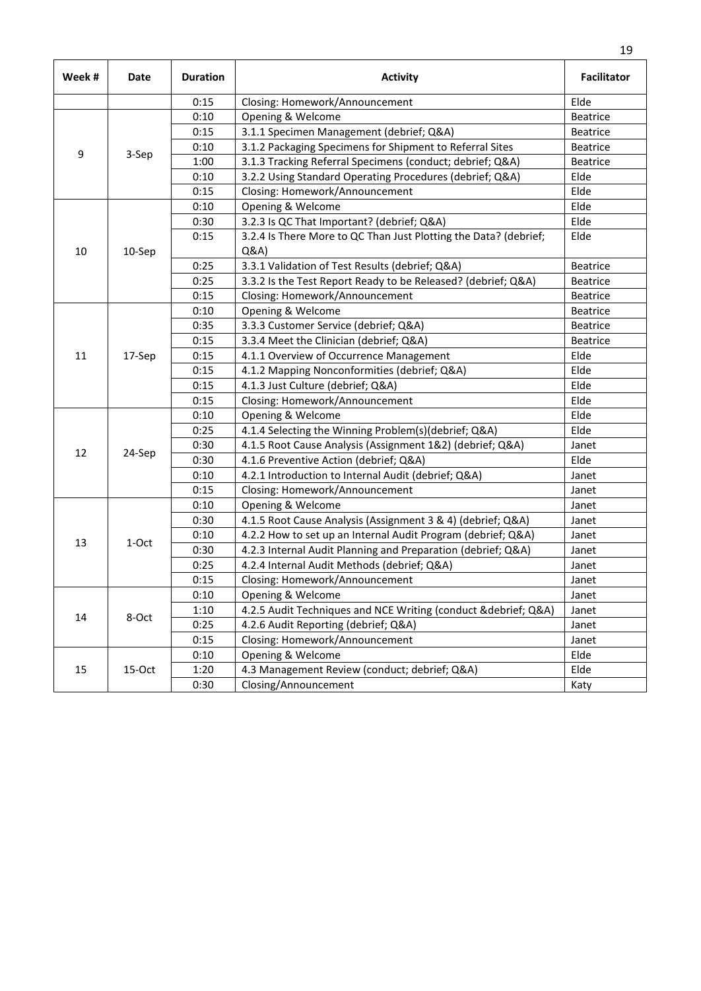| Week# | Date   | <b>Duration</b> | <b>Activity</b>                                                         | <b>Facilitator</b> |
|-------|--------|-----------------|-------------------------------------------------------------------------|--------------------|
|       |        | 0:15            | Closing: Homework/Announcement                                          | Elde               |
|       |        | 0:10            | Opening & Welcome                                                       | <b>Beatrice</b>    |
|       |        | 0:15            | 3.1.1 Specimen Management (debrief; Q&A)                                | <b>Beatrice</b>    |
| 9     |        | 0:10            | 3.1.2 Packaging Specimens for Shipment to Referral Sites                | Beatrice           |
|       | 3-Sep  | 1:00            | 3.1.3 Tracking Referral Specimens (conduct; debrief; Q&A)               | <b>Beatrice</b>    |
|       |        | 0:10            | 3.2.2 Using Standard Operating Procedures (debrief; Q&A)                | Elde               |
|       |        | 0:15            | Closing: Homework/Announcement                                          | Elde               |
|       |        | 0:10            | Opening & Welcome                                                       | Elde               |
|       |        | 0:30            | 3.2.3 Is QC That Important? (debrief; Q&A)                              | Elde               |
| 10    | 10-Sep | 0:15            | 3.2.4 Is There More to QC Than Just Plotting the Data? (debrief;<br>Q&A | Elde               |
|       |        | 0:25            | 3.3.1 Validation of Test Results (debrief; Q&A)                         | <b>Beatrice</b>    |
|       |        | 0:25            | 3.3.2 Is the Test Report Ready to be Released? (debrief; Q&A)           | Beatrice           |
|       |        | 0:15            | Closing: Homework/Announcement                                          | <b>Beatrice</b>    |
|       |        | 0:10            | Opening & Welcome                                                       | <b>Beatrice</b>    |
|       | 17-Sep | 0:35            | 3.3.3 Customer Service (debrief; Q&A)                                   | <b>Beatrice</b>    |
|       |        | 0:15            | 3.3.4 Meet the Clinician (debrief; Q&A)                                 | Beatrice           |
| 11    |        | 0:15            | 4.1.1 Overview of Occurrence Management                                 | Elde               |
|       |        | 0:15            | 4.1.2 Mapping Nonconformities (debrief; Q&A)                            | Elde               |
|       |        | 0:15            | 4.1.3 Just Culture (debrief; Q&A)                                       | Elde               |
|       |        | 0:15            | Closing: Homework/Announcement                                          | Elde               |
|       |        | 0:10            | Opening & Welcome                                                       | Elde               |
|       | 24-Sep | 0:25            | 4.1.4 Selecting the Winning Problem(s)(debrief; Q&A)                    | Elde               |
|       |        | 0:30            | 4.1.5 Root Cause Analysis (Assignment 1&2) (debrief; Q&A)               | Janet              |
| 12    |        | 0:30            | 4.1.6 Preventive Action (debrief; Q&A)                                  | Elde               |
|       |        | 0:10            | 4.2.1 Introduction to Internal Audit (debrief; Q&A)                     | Janet              |
|       |        | 0:15            | Closing: Homework/Announcement                                          | Janet              |
|       |        | 0:10            | Opening & Welcome                                                       | Janet              |
|       |        | 0:30            | 4.1.5 Root Cause Analysis (Assignment 3 & 4) (debrief; Q&A)             | Janet              |
| 13    | 1-Oct  | 0:10            | 4.2.2 How to set up an Internal Audit Program (debrief; Q&A)            | Janet              |
|       |        | 0:30            | 4.2.3 Internal Audit Planning and Preparation (debrief; Q&A)            | Janet              |
|       |        | 0:25            | 4.2.4 Internal Audit Methods (debrief; Q&A)                             | Janet              |
|       |        | 0:15            | Closing: Homework/Announcement                                          | Janet              |
|       |        | 0:10            | Opening & Welcome                                                       | Janet              |
| 14    |        | 1:10            | 4.2.5 Audit Techniques and NCE Writing (conduct & debrief; Q&A)         | Janet              |
|       | 8-Oct  | 0:25            | 4.2.6 Audit Reporting (debrief; Q&A)                                    | Janet              |
|       |        | 0:15            | Closing: Homework/Announcement                                          | Janet              |
|       |        | 0:10            | Opening & Welcome                                                       | Elde               |
| 15    | 15-Oct | 1:20            | 4.3 Management Review (conduct; debrief; Q&A)                           | Elde               |
|       |        | 0:30            | Closing/Announcement                                                    | Katy               |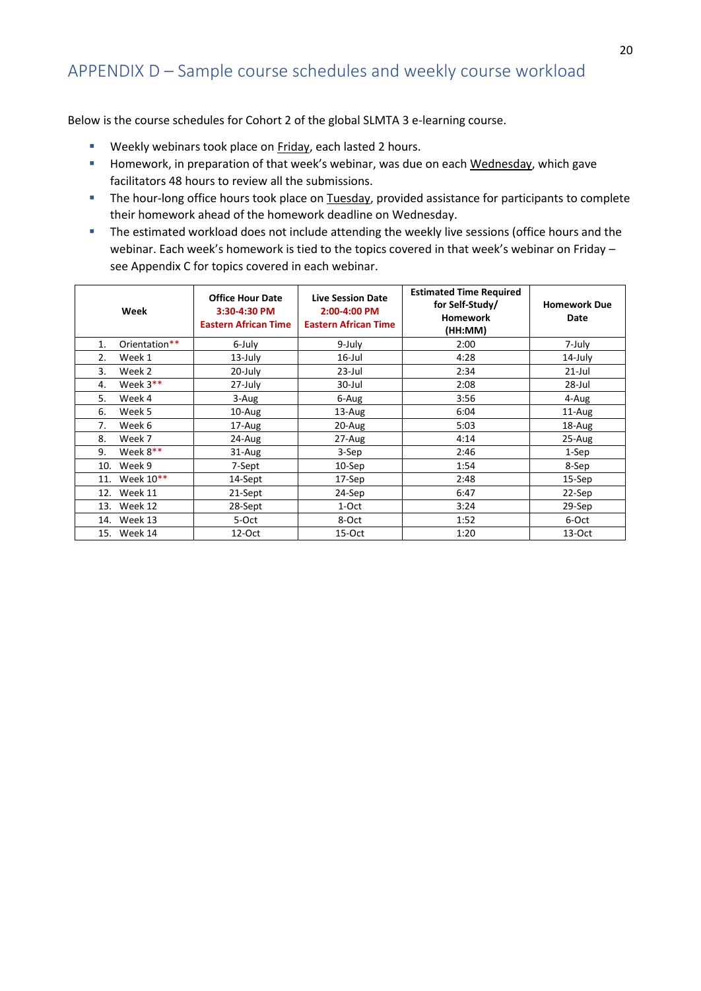### <span id="page-20-0"></span>APPENDIX D – Sample course schedules and weekly course workload

Below is the course schedules for Cohort 2 of the global SLMTA 3 e-learning course.

- Weekly webinars took place on Friday, each lasted 2 hours.
- Homework, in preparation of that week's webinar, was due on each Wednesday, which gave facilitators 48 hours to review all the submissions.
- **·** The hour-long office hours took place on Tuesday, provided assistance for participants to complete their homework ahead of the homework deadline on Wednesday.
- **·** The estimated workload does not include attending the weekly live sessions (office hours and the webinar. Each week's homework is tied to the topics covered in that week's webinar on Friday – see Appendix C for topics covered in each webinar.

|    | Week          | <b>Office Hour Date</b><br>3:30-4:30 PM<br><b>Eastern African Time</b> | <b>Live Session Date</b><br>2:00-4:00 PM<br><b>Eastern African Time</b> | <b>Estimated Time Required</b><br>for Self-Study/<br><b>Homework</b><br>(HH:MM) | <b>Homework Due</b><br>Date |
|----|---------------|------------------------------------------------------------------------|-------------------------------------------------------------------------|---------------------------------------------------------------------------------|-----------------------------|
| 1. | Orientation** | 6-July                                                                 | 9-July                                                                  | 2:00                                                                            | 7-July                      |
| 2. | Week 1        | 13-July                                                                | $16$ -Jul                                                               | 4:28                                                                            | 14-July                     |
| 3. | Week 2        | 20-July                                                                | $23$ -Jul                                                               | 2:34                                                                            | $21$ -Jul                   |
| 4. | Week $3**$    | 27-July                                                                | 30-Jul                                                                  | 2:08                                                                            | 28-Jul                      |
| 5. | Week 4        | 3-Aug                                                                  | 6-Aug                                                                   | 3:56                                                                            | 4-Aug                       |
| 6. | Week 5        | 10-Aug                                                                 | 13-Aug                                                                  | 6:04                                                                            | 11-Aug                      |
| 7. | Week 6        | 17-Aug                                                                 | 20-Aug                                                                  | 5:03                                                                            | 18-Aug                      |
| 8. | Week 7        | 24-Aug                                                                 | 27-Aug                                                                  | 4:14                                                                            | $25 - Aug$                  |
| 9. | Week $8**$    | $31 - Aug$                                                             | 3-Sep                                                                   | 2:46                                                                            | 1-Sep                       |
|    | 10. Week 9    | 7-Sept                                                                 | $10-$ Sep                                                               | 1:54                                                                            | 8-Sep                       |
|    | 11. Week 10** | 14-Sept                                                                | 17-Sep                                                                  | 2:48                                                                            | 15-Sep                      |
|    | 12. Week 11   | 21-Sept                                                                | 24-Sep                                                                  | 6:47                                                                            | 22-Sep                      |
|    | 13. Week 12   | 28-Sept                                                                | 1-Oct                                                                   | 3:24                                                                            | 29-Sep                      |
|    | 14. Week 13   | 5-Oct                                                                  | 8-Oct                                                                   | 1:52                                                                            | 6-Oct                       |
|    | 15. Week 14   | $12$ -Oct                                                              | $15-Oct$                                                                | 1:20                                                                            | $13-Oct$                    |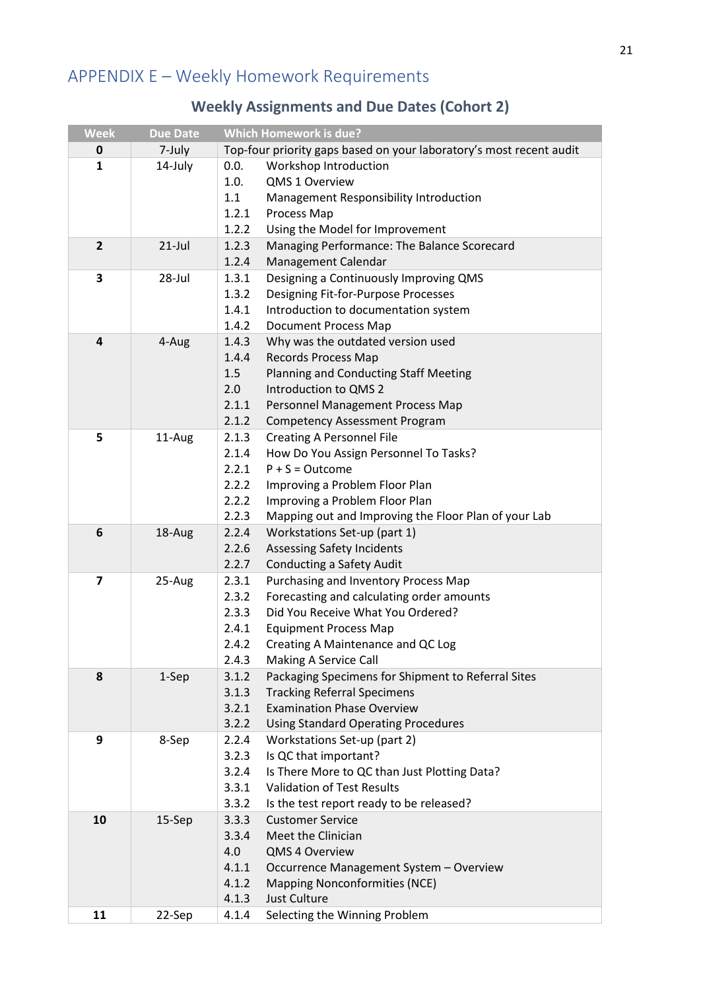# <span id="page-21-0"></span>APPENDIX E – Weekly Homework Requirements

### **Weekly Assignments and Due Dates (Cohort 2)**

| <b>Week</b>    | <b>Due Date</b> | <b>Which Homework is due?</b> |                                                                         |  |  |
|----------------|-----------------|-------------------------------|-------------------------------------------------------------------------|--|--|
| 0              | 7-July          |                               | Top-four priority gaps based on your laboratory's most recent audit     |  |  |
| 1              | 14-July         | 0.0.                          | Workshop Introduction                                                   |  |  |
|                |                 | 1.0.                          | QMS 1 Overview                                                          |  |  |
|                |                 | 1.1                           | Management Responsibility Introduction                                  |  |  |
|                |                 | 1.2.1                         | Process Map                                                             |  |  |
|                |                 | 1.2.2                         | Using the Model for Improvement                                         |  |  |
| $\overline{2}$ | $21$ -Jul       | 1.2.3                         | Managing Performance: The Balance Scorecard                             |  |  |
|                |                 | 1.2.4                         | Management Calendar                                                     |  |  |
| 3              | 28-Jul          | 1.3.1                         | Designing a Continuously Improving QMS                                  |  |  |
|                |                 | 1.3.2                         | Designing Fit-for-Purpose Processes                                     |  |  |
|                |                 | 1.4.1                         | Introduction to documentation system                                    |  |  |
|                |                 | 1.4.2                         | <b>Document Process Map</b>                                             |  |  |
| 4              | 4-Aug           | 1.4.3                         | Why was the outdated version used                                       |  |  |
|                |                 | 1.4.4                         | <b>Records Process Map</b>                                              |  |  |
|                |                 | 1.5                           | Planning and Conducting Staff Meeting                                   |  |  |
|                |                 | 2.0                           | Introduction to QMS 2                                                   |  |  |
|                |                 | 2.1.1                         | Personnel Management Process Map                                        |  |  |
|                |                 | 2.1.2                         | <b>Competency Assessment Program</b>                                    |  |  |
| 5              | 11-Aug          | 2.1.3                         | <b>Creating A Personnel File</b>                                        |  |  |
|                |                 | 2.1.4                         | How Do You Assign Personnel To Tasks?                                   |  |  |
|                |                 | 2.2.1                         | $P + S = Outcome$                                                       |  |  |
|                |                 | 2.2.2                         | Improving a Problem Floor Plan                                          |  |  |
|                |                 | 2.2.2                         | Improving a Problem Floor Plan                                          |  |  |
|                |                 | 2.2.3                         | Mapping out and Improving the Floor Plan of your Lab                    |  |  |
| 6              | 18-Aug          | 2.2.4                         | Workstations Set-up (part 1)                                            |  |  |
|                |                 | 2.2.6                         | <b>Assessing Safety Incidents</b>                                       |  |  |
|                |                 | 2.2.7                         | <b>Conducting a Safety Audit</b>                                        |  |  |
| $\overline{7}$ | 25-Aug          | 2.3.1                         | Purchasing and Inventory Process Map                                    |  |  |
|                |                 | 2.3.2                         | Forecasting and calculating order amounts                               |  |  |
|                |                 | 2.3.3                         | Did You Receive What You Ordered?                                       |  |  |
|                |                 | 2.4.1                         | <b>Equipment Process Map</b>                                            |  |  |
|                |                 | 2.4.2                         | Creating A Maintenance and QC Log                                       |  |  |
|                |                 | 2.4.3                         | Making A Service Call                                                   |  |  |
| 8              | 1-Sep           | 3.1.2                         | Packaging Specimens for Shipment to Referral Sites                      |  |  |
|                |                 | 3.1.3                         | <b>Tracking Referral Specimens</b><br><b>Examination Phase Overview</b> |  |  |
|                |                 | 3.2.1<br>3.2.2                |                                                                         |  |  |
| 9              |                 | 2.2.4                         | <b>Using Standard Operating Procedures</b>                              |  |  |
|                | 8-Sep           | 3.2.3                         | Workstations Set-up (part 2)<br>Is QC that important?                   |  |  |
|                |                 | 3.2.4                         | Is There More to QC than Just Plotting Data?                            |  |  |
|                |                 | 3.3.1                         | <b>Validation of Test Results</b>                                       |  |  |
|                |                 | 3.3.2                         | Is the test report ready to be released?                                |  |  |
| 10             | 15-Sep          | 3.3.3                         | <b>Customer Service</b>                                                 |  |  |
|                |                 | 3.3.4                         | Meet the Clinician                                                      |  |  |
|                |                 | 4.0                           | QMS 4 Overview                                                          |  |  |
|                |                 | 4.1.1                         | Occurrence Management System - Overview                                 |  |  |
|                |                 | 4.1.2                         | <b>Mapping Nonconformities (NCE)</b>                                    |  |  |
|                |                 | 4.1.3                         | <b>Just Culture</b>                                                     |  |  |
| 11             | 22-Sep          | 4.1.4                         | Selecting the Winning Problem                                           |  |  |
|                |                 |                               |                                                                         |  |  |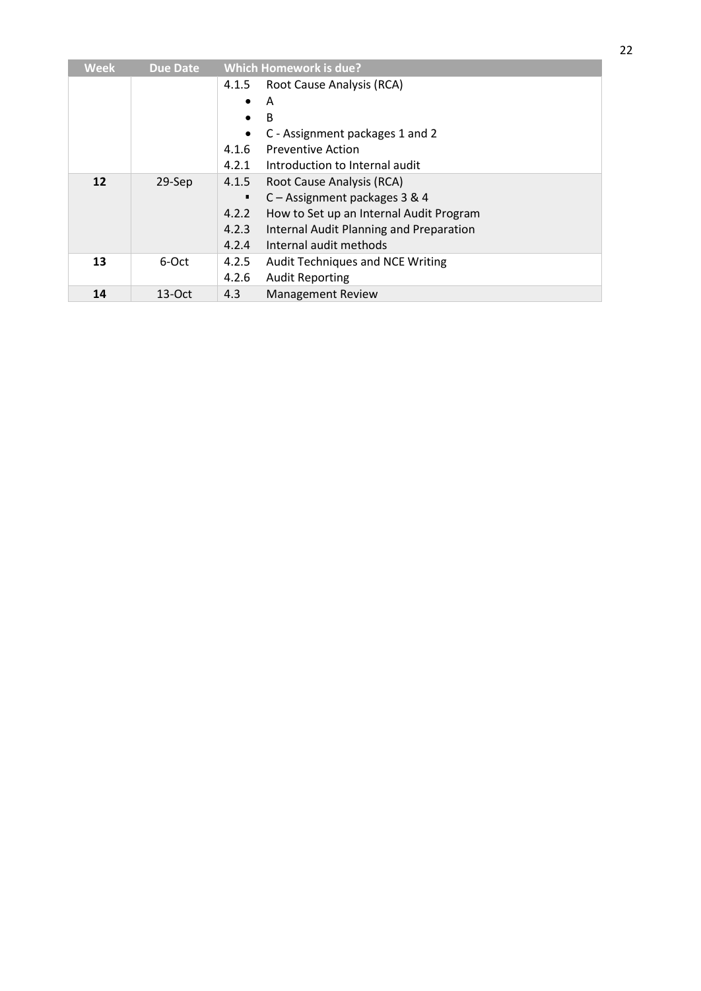| <b>Week</b> | <b>Due Date</b> |           | <b>Which Homework is due?</b>           |  |  |  |
|-------------|-----------------|-----------|-----------------------------------------|--|--|--|
|             |                 | 4.1.5     | Root Cause Analysis (RCA)               |  |  |  |
|             |                 | $\bullet$ | A                                       |  |  |  |
|             |                 |           | B                                       |  |  |  |
|             |                 |           | C - Assignment packages 1 and 2         |  |  |  |
|             |                 | 4.1.6     | <b>Preventive Action</b>                |  |  |  |
|             |                 | 4.2.1     | Introduction to Internal audit          |  |  |  |
| 12          | 29-Sep          | 4.1.5     | Root Cause Analysis (RCA)               |  |  |  |
|             |                 |           | C - Assignment packages 3 & 4           |  |  |  |
|             |                 | 4.2.2     | How to Set up an Internal Audit Program |  |  |  |
|             |                 | 4.2.3     | Internal Audit Planning and Preparation |  |  |  |
|             |                 | 4.2.4     | Internal audit methods                  |  |  |  |
| 13          | 6-Oct           | 4.2.5     | Audit Techniques and NCE Writing        |  |  |  |
|             |                 | 4.2.6     | <b>Audit Reporting</b>                  |  |  |  |
| 14          | $13-Oct$        | 4.3       | <b>Management Review</b>                |  |  |  |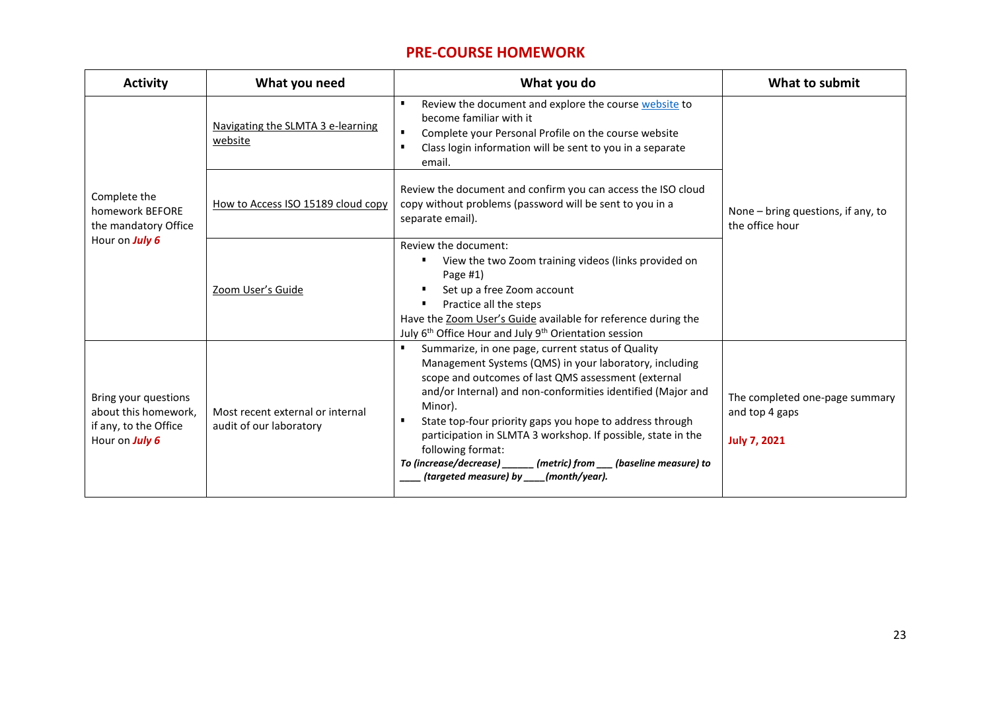#### **PRE-COURSE HOMEWORK**

| <b>Activity</b>                                                                         | What you need                                               | What you do                                                                                                                                                                                                                                                                                                                                                                                                                                                                                                       | What to submit                                                          |
|-----------------------------------------------------------------------------------------|-------------------------------------------------------------|-------------------------------------------------------------------------------------------------------------------------------------------------------------------------------------------------------------------------------------------------------------------------------------------------------------------------------------------------------------------------------------------------------------------------------------------------------------------------------------------------------------------|-------------------------------------------------------------------------|
| Complete the<br>homework BEFORE<br>the mandatory Office<br>Hour on July 6               | Navigating the SLMTA 3 e-learning<br>website                | Review the document and explore the course website to<br>become familiar with it<br>Complete your Personal Profile on the course website<br>Class login information will be sent to you in a separate<br>email.                                                                                                                                                                                                                                                                                                   |                                                                         |
|                                                                                         | How to Access ISO 15189 cloud copy                          | Review the document and confirm you can access the ISO cloud<br>copy without problems (password will be sent to you in a<br>separate email).                                                                                                                                                                                                                                                                                                                                                                      | None – bring questions, if any, to<br>the office hour                   |
|                                                                                         | Zoom User's Guide                                           | Review the document:<br>View the two Zoom training videos (links provided on<br>Page $#1)$<br>Set up a free Zoom account<br>Practice all the steps<br>Have the Zoom User's Guide available for reference during the<br>July 6 <sup>th</sup> Office Hour and July 9 <sup>th</sup> Orientation session                                                                                                                                                                                                              |                                                                         |
| Bring your questions<br>about this homework,<br>if any, to the Office<br>Hour on July 6 | Most recent external or internal<br>audit of our laboratory | Summarize, in one page, current status of Quality<br>Management Systems (QMS) in your laboratory, including<br>scope and outcomes of last QMS assessment (external<br>and/or Internal) and non-conformities identified (Major and<br>Minor).<br>State top-four priority gaps you hope to address through<br>participation in SLMTA 3 workshop. If possible, state in the<br>following format:<br>To (increase/decrease)<br>___ (metric) from ___ (baseline measure) to<br>(targeted measure) by ____(month/year). | The completed one-page summary<br>and top 4 gaps<br><b>July 7, 2021</b> |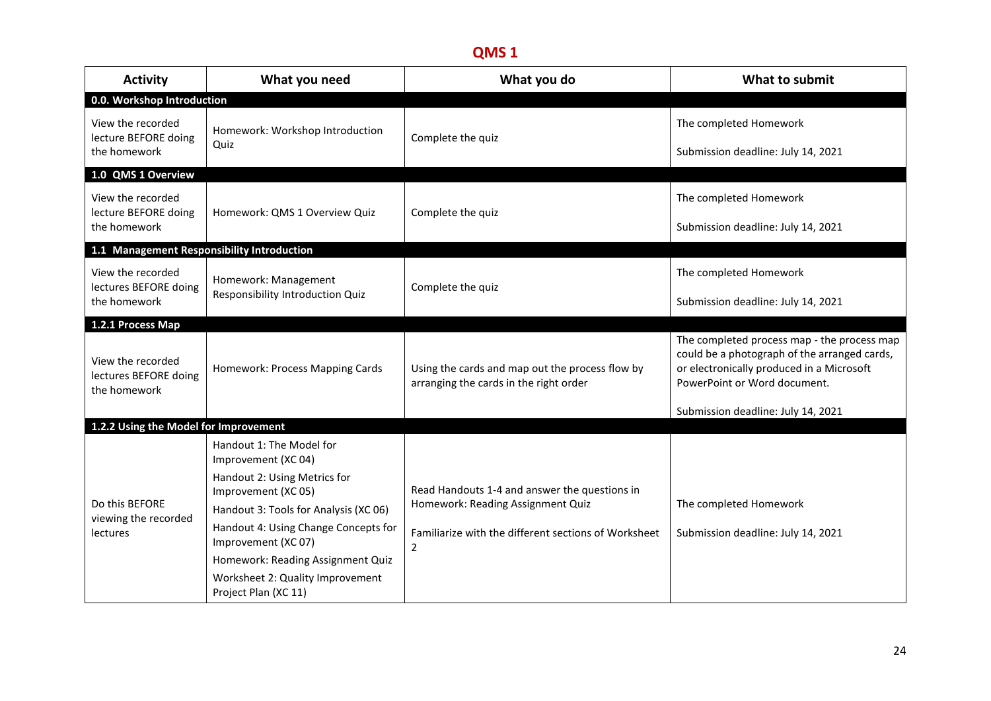| <b>Activity</b>                                            | What you need                                                                                                                                                                                                  | What you do                                                                                                                                                  | What to submit                                                                                                                                                                                                 |
|------------------------------------------------------------|----------------------------------------------------------------------------------------------------------------------------------------------------------------------------------------------------------------|--------------------------------------------------------------------------------------------------------------------------------------------------------------|----------------------------------------------------------------------------------------------------------------------------------------------------------------------------------------------------------------|
| 0.0. Workshop Introduction                                 |                                                                                                                                                                                                                |                                                                                                                                                              |                                                                                                                                                                                                                |
| View the recorded<br>lecture BEFORE doing<br>the homework  | Homework: Workshop Introduction<br>Quiz                                                                                                                                                                        | Complete the quiz                                                                                                                                            | The completed Homework<br>Submission deadline: July 14, 2021                                                                                                                                                   |
| 1.0 QMS 1 Overview                                         |                                                                                                                                                                                                                |                                                                                                                                                              |                                                                                                                                                                                                                |
| View the recorded<br>lecture BEFORE doing<br>the homework  | Homework: QMS 1 Overview Quiz                                                                                                                                                                                  | Complete the quiz                                                                                                                                            | The completed Homework<br>Submission deadline: July 14, 2021                                                                                                                                                   |
| 1.1 Management Responsibility Introduction                 |                                                                                                                                                                                                                |                                                                                                                                                              |                                                                                                                                                                                                                |
| View the recorded<br>lectures BEFORE doing<br>the homework | Homework: Management<br>Responsibility Introduction Quiz                                                                                                                                                       | Complete the quiz                                                                                                                                            | The completed Homework<br>Submission deadline: July 14, 2021                                                                                                                                                   |
| 1.2.1 Process Map                                          |                                                                                                                                                                                                                |                                                                                                                                                              |                                                                                                                                                                                                                |
| View the recorded<br>lectures BEFORE doing<br>the homework | Homework: Process Mapping Cards                                                                                                                                                                                | Using the cards and map out the process flow by<br>arranging the cards in the right order                                                                    | The completed process map - the process map<br>could be a photograph of the arranged cards,<br>or electronically produced in a Microsoft<br>PowerPoint or Word document.<br>Submission deadline: July 14, 2021 |
| 1.2.2 Using the Model for Improvement                      |                                                                                                                                                                                                                |                                                                                                                                                              |                                                                                                                                                                                                                |
| Do this BEFORE<br>viewing the recorded<br>lectures         | Handout 1: The Model for<br>Improvement (XC 04)<br>Handout 2: Using Metrics for<br>Improvement (XC 05)<br>Handout 3: Tools for Analysis (XC 06)<br>Handout 4: Using Change Concepts for<br>Improvement (XC 07) | Read Handouts 1-4 and answer the questions in<br>Homework: Reading Assignment Quiz<br>Familiarize with the different sections of Worksheet<br>$\overline{2}$ | The completed Homework<br>Submission deadline: July 14, 2021                                                                                                                                                   |
|                                                            | Homework: Reading Assignment Quiz<br>Worksheet 2: Quality Improvement<br>Project Plan (XC 11)                                                                                                                  |                                                                                                                                                              |                                                                                                                                                                                                                |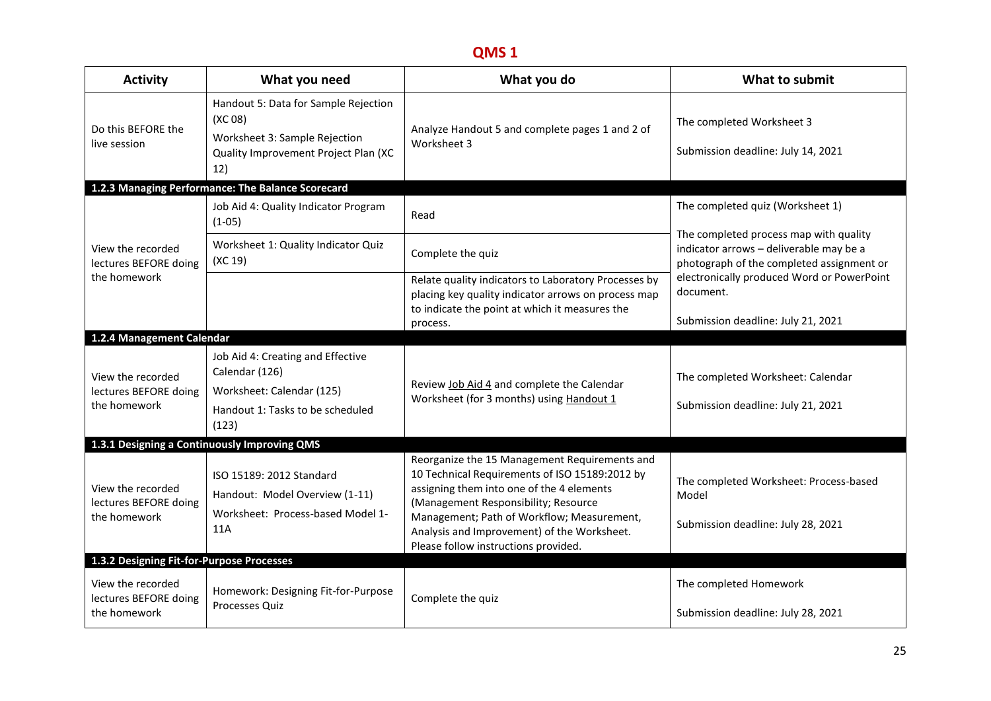| Handout 5: Data for Sample Rejection<br>(XC <sub>08</sub> )<br>The completed Worksheet 3<br>Do this BEFORE the<br>Analyze Handout 5 and complete pages 1 and 2 of<br>Worksheet 3: Sample Rejection<br>Worksheet 3<br>live session<br>Submission deadline: July 14, 2021<br>Quality Improvement Project Plan (XC<br>12)<br>1.2.3 Managing Performance: The Balance Scorecard<br>The completed quiz (Worksheet 1)<br>Job Aid 4: Quality Indicator Program<br>Read<br>$(1-05)$<br>The completed process map with quality<br>Worksheet 1: Quality Indicator Quiz<br>View the recorded<br>indicator arrows - deliverable may be a<br>Complete the quiz<br>(XC 19)<br>lectures BEFORE doing<br>photograph of the completed assignment or<br>the homework<br>electronically produced Word or PowerPoint<br>Relate quality indicators to Laboratory Processes by<br>document.<br>placing key quality indicator arrows on process map<br>to indicate the point at which it measures the<br>Submission deadline: July 21, 2021<br>process.<br>1.2.4 Management Calendar<br>Job Aid 4: Creating and Effective<br>Calendar (126)<br>View the recorded<br>The completed Worksheet: Calendar<br>Review Job Aid 4 and complete the Calendar<br>lectures BEFORE doing<br>Worksheet: Calendar (125)<br>Worksheet (for 3 months) using Handout 1<br>the homework<br>Submission deadline: July 21, 2021<br>Handout 1: Tasks to be scheduled<br>(123)<br>1.3.1 Designing a Continuously Improving QMS<br>Reorganize the 15 Management Requirements and<br>10 Technical Requirements of ISO 15189:2012 by<br>ISO 15189: 2012 Standard<br>The completed Worksheet: Process-based<br>assigning them into one of the 4 elements<br>View the recorded<br>Handout: Model Overview (1-11)<br>Model<br>lectures BEFORE doing<br>(Management Responsibility; Resource<br>Worksheet: Process-based Model 1-<br>Management; Path of Workflow; Measurement,<br>the homework<br>Submission deadline: July 28, 2021<br>11A<br>Analysis and Improvement) of the Worksheet.<br>Please follow instructions provided.<br>1.3.2 Designing Fit-for-Purpose Processes<br>View the recorded<br>The completed Homework<br>Homework: Designing Fit-for-Purpose<br>lectures BEFORE doing<br>Complete the quiz<br>Processes Quiz<br>the homework<br>Submission deadline: July 28, 2021 | <b>Activity</b> | What you need | What you do | What to submit |
|------------------------------------------------------------------------------------------------------------------------------------------------------------------------------------------------------------------------------------------------------------------------------------------------------------------------------------------------------------------------------------------------------------------------------------------------------------------------------------------------------------------------------------------------------------------------------------------------------------------------------------------------------------------------------------------------------------------------------------------------------------------------------------------------------------------------------------------------------------------------------------------------------------------------------------------------------------------------------------------------------------------------------------------------------------------------------------------------------------------------------------------------------------------------------------------------------------------------------------------------------------------------------------------------------------------------------------------------------------------------------------------------------------------------------------------------------------------------------------------------------------------------------------------------------------------------------------------------------------------------------------------------------------------------------------------------------------------------------------------------------------------------------------------------------------------------------------------------------------------------------------------------------------------------------------------------------------------------------------------------------------------------------------------------------------------------------------------------------------------------------------------------------------------------------------------------------------------------------------------------------------------------------------------------------------------------------------------|-----------------|---------------|-------------|----------------|
|                                                                                                                                                                                                                                                                                                                                                                                                                                                                                                                                                                                                                                                                                                                                                                                                                                                                                                                                                                                                                                                                                                                                                                                                                                                                                                                                                                                                                                                                                                                                                                                                                                                                                                                                                                                                                                                                                                                                                                                                                                                                                                                                                                                                                                                                                                                                          |                 |               |             |                |
|                                                                                                                                                                                                                                                                                                                                                                                                                                                                                                                                                                                                                                                                                                                                                                                                                                                                                                                                                                                                                                                                                                                                                                                                                                                                                                                                                                                                                                                                                                                                                                                                                                                                                                                                                                                                                                                                                                                                                                                                                                                                                                                                                                                                                                                                                                                                          |                 |               |             |                |
|                                                                                                                                                                                                                                                                                                                                                                                                                                                                                                                                                                                                                                                                                                                                                                                                                                                                                                                                                                                                                                                                                                                                                                                                                                                                                                                                                                                                                                                                                                                                                                                                                                                                                                                                                                                                                                                                                                                                                                                                                                                                                                                                                                                                                                                                                                                                          |                 |               |             |                |
|                                                                                                                                                                                                                                                                                                                                                                                                                                                                                                                                                                                                                                                                                                                                                                                                                                                                                                                                                                                                                                                                                                                                                                                                                                                                                                                                                                                                                                                                                                                                                                                                                                                                                                                                                                                                                                                                                                                                                                                                                                                                                                                                                                                                                                                                                                                                          |                 |               |             |                |
|                                                                                                                                                                                                                                                                                                                                                                                                                                                                                                                                                                                                                                                                                                                                                                                                                                                                                                                                                                                                                                                                                                                                                                                                                                                                                                                                                                                                                                                                                                                                                                                                                                                                                                                                                                                                                                                                                                                                                                                                                                                                                                                                                                                                                                                                                                                                          |                 |               |             |                |
|                                                                                                                                                                                                                                                                                                                                                                                                                                                                                                                                                                                                                                                                                                                                                                                                                                                                                                                                                                                                                                                                                                                                                                                                                                                                                                                                                                                                                                                                                                                                                                                                                                                                                                                                                                                                                                                                                                                                                                                                                                                                                                                                                                                                                                                                                                                                          |                 |               |             |                |
|                                                                                                                                                                                                                                                                                                                                                                                                                                                                                                                                                                                                                                                                                                                                                                                                                                                                                                                                                                                                                                                                                                                                                                                                                                                                                                                                                                                                                                                                                                                                                                                                                                                                                                                                                                                                                                                                                                                                                                                                                                                                                                                                                                                                                                                                                                                                          |                 |               |             |                |
|                                                                                                                                                                                                                                                                                                                                                                                                                                                                                                                                                                                                                                                                                                                                                                                                                                                                                                                                                                                                                                                                                                                                                                                                                                                                                                                                                                                                                                                                                                                                                                                                                                                                                                                                                                                                                                                                                                                                                                                                                                                                                                                                                                                                                                                                                                                                          |                 |               |             |                |
|                                                                                                                                                                                                                                                                                                                                                                                                                                                                                                                                                                                                                                                                                                                                                                                                                                                                                                                                                                                                                                                                                                                                                                                                                                                                                                                                                                                                                                                                                                                                                                                                                                                                                                                                                                                                                                                                                                                                                                                                                                                                                                                                                                                                                                                                                                                                          |                 |               |             |                |
|                                                                                                                                                                                                                                                                                                                                                                                                                                                                                                                                                                                                                                                                                                                                                                                                                                                                                                                                                                                                                                                                                                                                                                                                                                                                                                                                                                                                                                                                                                                                                                                                                                                                                                                                                                                                                                                                                                                                                                                                                                                                                                                                                                                                                                                                                                                                          |                 |               |             |                |
|                                                                                                                                                                                                                                                                                                                                                                                                                                                                                                                                                                                                                                                                                                                                                                                                                                                                                                                                                                                                                                                                                                                                                                                                                                                                                                                                                                                                                                                                                                                                                                                                                                                                                                                                                                                                                                                                                                                                                                                                                                                                                                                                                                                                                                                                                                                                          |                 |               |             |                |
|                                                                                                                                                                                                                                                                                                                                                                                                                                                                                                                                                                                                                                                                                                                                                                                                                                                                                                                                                                                                                                                                                                                                                                                                                                                                                                                                                                                                                                                                                                                                                                                                                                                                                                                                                                                                                                                                                                                                                                                                                                                                                                                                                                                                                                                                                                                                          |                 |               |             |                |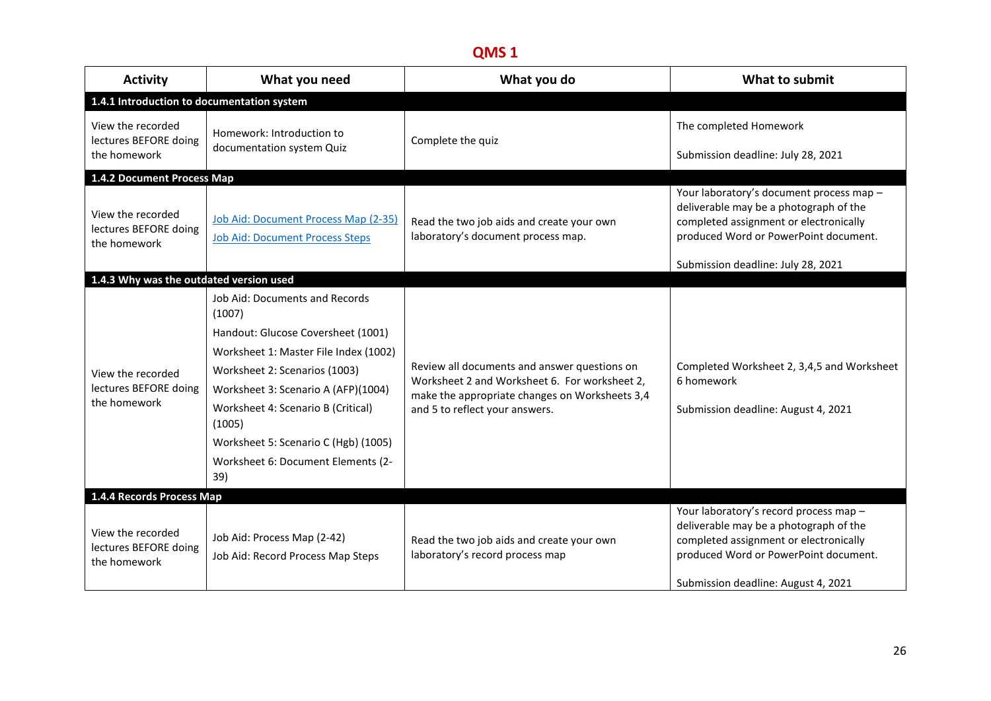| <b>Activity</b>                                            | What you need                                                                                                                                                                                                                                                                                                                        | What you do                                                                                                                                                                       | What to submit                                                                                                                                                                                              |
|------------------------------------------------------------|--------------------------------------------------------------------------------------------------------------------------------------------------------------------------------------------------------------------------------------------------------------------------------------------------------------------------------------|-----------------------------------------------------------------------------------------------------------------------------------------------------------------------------------|-------------------------------------------------------------------------------------------------------------------------------------------------------------------------------------------------------------|
| 1.4.1 Introduction to documentation system                 |                                                                                                                                                                                                                                                                                                                                      |                                                                                                                                                                                   |                                                                                                                                                                                                             |
| View the recorded<br>lectures BEFORE doing<br>the homework | Homework: Introduction to<br>documentation system Quiz                                                                                                                                                                                                                                                                               | Complete the quiz                                                                                                                                                                 | The completed Homework<br>Submission deadline: July 28, 2021                                                                                                                                                |
| 1.4.2 Document Process Map                                 |                                                                                                                                                                                                                                                                                                                                      |                                                                                                                                                                                   |                                                                                                                                                                                                             |
| View the recorded<br>lectures BEFORE doing<br>the homework | Job Aid: Document Process Map (2-35)<br><b>Job Aid: Document Process Steps</b>                                                                                                                                                                                                                                                       | Read the two job aids and create your own<br>laboratory's document process map.                                                                                                   | Your laboratory's document process map -<br>deliverable may be a photograph of the<br>completed assignment or electronically<br>produced Word or PowerPoint document.<br>Submission deadline: July 28, 2021 |
| 1.4.3 Why was the outdated version used                    |                                                                                                                                                                                                                                                                                                                                      |                                                                                                                                                                                   |                                                                                                                                                                                                             |
| View the recorded<br>lectures BEFORE doing<br>the homework | Job Aid: Documents and Records<br>(1007)<br>Handout: Glucose Coversheet (1001)<br>Worksheet 1: Master File Index (1002)<br>Worksheet 2: Scenarios (1003)<br>Worksheet 3: Scenario A (AFP)(1004)<br>Worksheet 4: Scenario B (Critical)<br>(1005)<br>Worksheet 5: Scenario C (Hgb) (1005)<br>Worksheet 6: Document Elements (2-<br>39) | Review all documents and answer questions on<br>Worksheet 2 and Worksheet 6. For worksheet 2,<br>make the appropriate changes on Worksheets 3,4<br>and 5 to reflect your answers. | Completed Worksheet 2, 3,4,5 and Worksheet<br>6 homework<br>Submission deadline: August 4, 2021                                                                                                             |
| 1.4.4 Records Process Map                                  |                                                                                                                                                                                                                                                                                                                                      |                                                                                                                                                                                   |                                                                                                                                                                                                             |
| View the recorded<br>lectures BEFORE doing<br>the homework | Job Aid: Process Map (2-42)<br>Job Aid: Record Process Map Steps                                                                                                                                                                                                                                                                     | Read the two job aids and create your own<br>laboratory's record process map                                                                                                      | Your laboratory's record process map -<br>deliverable may be a photograph of the<br>completed assignment or electronically<br>produced Word or PowerPoint document.<br>Submission deadline: August 4, 2021  |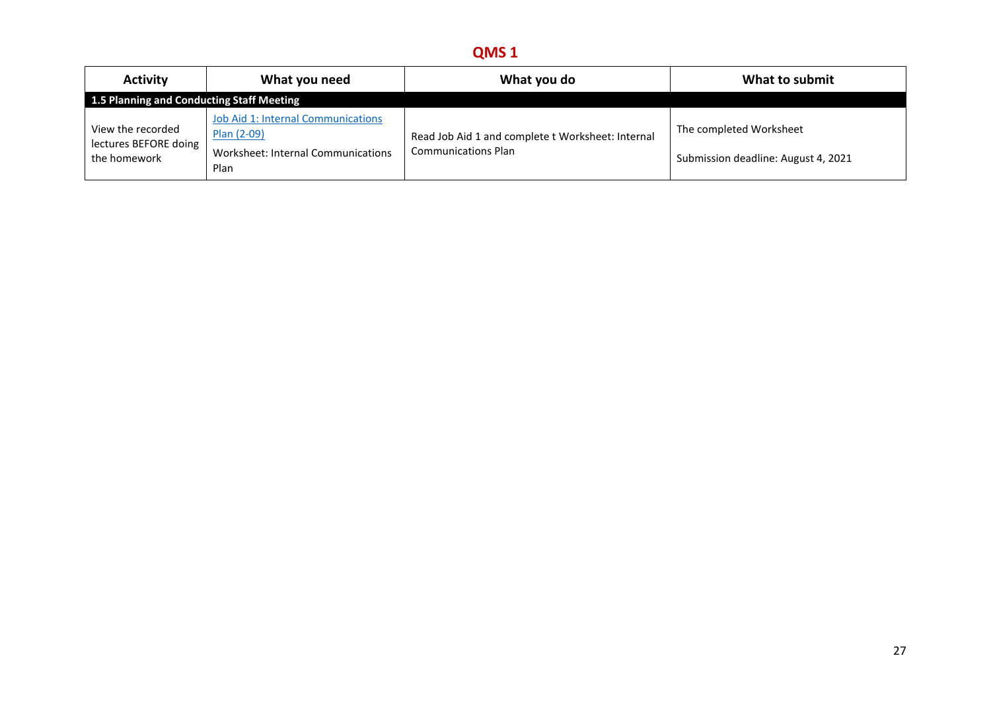| <b>Activity</b>                                            | What you need                                                                                          | What you do                                                                     | What to submit                                                 |
|------------------------------------------------------------|--------------------------------------------------------------------------------------------------------|---------------------------------------------------------------------------------|----------------------------------------------------------------|
| 1.5 Planning and Conducting Staff Meeting                  |                                                                                                        |                                                                                 |                                                                |
| View the recorded<br>lectures BEFORE doing<br>the homework | <b>Job Aid 1: Internal Communications</b><br>Plan (2-09)<br>Worksheet: Internal Communications<br>Plan | Read Job Aid 1 and complete t Worksheet: Internal<br><b>Communications Plan</b> | The completed Worksheet<br>Submission deadline: August 4, 2021 |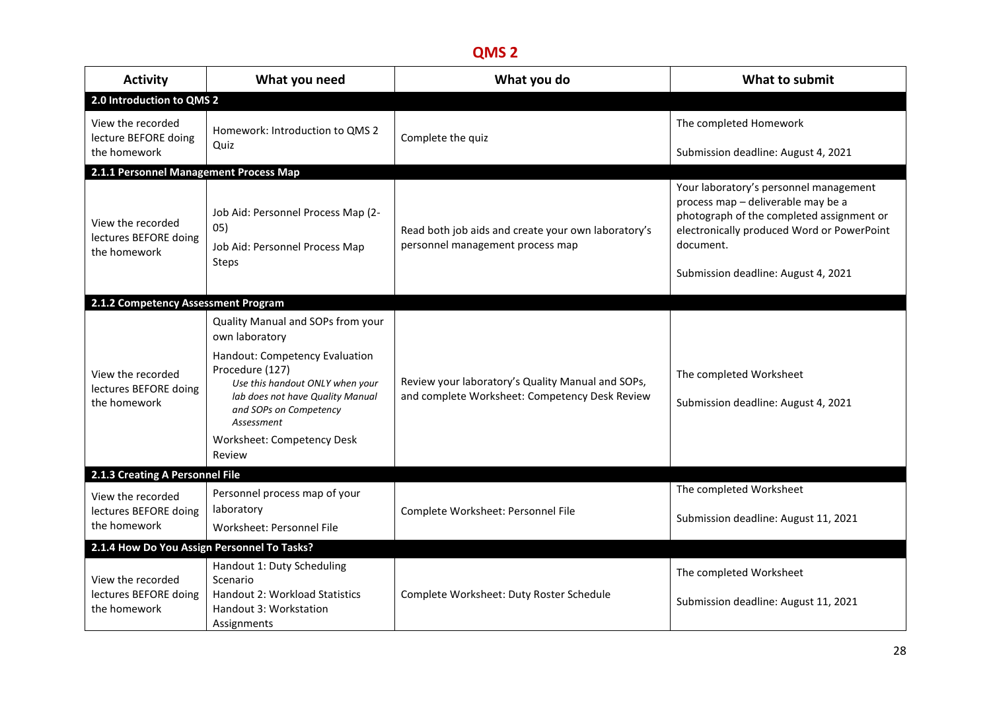| <b>Activity</b>                                            | What you need                                                                                                                                                                                                                                                   | What you do                                                                                         | What to submit                                                                                                                                                                       |
|------------------------------------------------------------|-----------------------------------------------------------------------------------------------------------------------------------------------------------------------------------------------------------------------------------------------------------------|-----------------------------------------------------------------------------------------------------|--------------------------------------------------------------------------------------------------------------------------------------------------------------------------------------|
| 2.0 Introduction to QMS 2                                  |                                                                                                                                                                                                                                                                 |                                                                                                     |                                                                                                                                                                                      |
| View the recorded<br>lecture BEFORE doing<br>the homework  | Homework: Introduction to QMS 2<br>Quiz                                                                                                                                                                                                                         | Complete the quiz                                                                                   | The completed Homework<br>Submission deadline: August 4, 2021                                                                                                                        |
| 2.1.1 Personnel Management Process Map                     |                                                                                                                                                                                                                                                                 |                                                                                                     |                                                                                                                                                                                      |
| View the recorded<br>lectures BEFORE doing<br>the homework | Job Aid: Personnel Process Map (2-<br>05)<br>Job Aid: Personnel Process Map<br>Steps                                                                                                                                                                            | Read both job aids and create your own laboratory's<br>personnel management process map             | Your laboratory's personnel management<br>process map - deliverable may be a<br>photograph of the completed assignment or<br>electronically produced Word or PowerPoint<br>document. |
|                                                            |                                                                                                                                                                                                                                                                 |                                                                                                     | Submission deadline: August 4, 2021                                                                                                                                                  |
| 2.1.2 Competency Assessment Program                        |                                                                                                                                                                                                                                                                 |                                                                                                     |                                                                                                                                                                                      |
| View the recorded<br>lectures BEFORE doing<br>the homework | Quality Manual and SOPs from your<br>own laboratory<br>Handout: Competency Evaluation<br>Procedure (127)<br>Use this handout ONLY when your<br>lab does not have Quality Manual<br>and SOPs on Competency<br>Assessment<br>Worksheet: Competency Desk<br>Review | Review your laboratory's Quality Manual and SOPs,<br>and complete Worksheet: Competency Desk Review | The completed Worksheet<br>Submission deadline: August 4, 2021                                                                                                                       |
| 2.1.3 Creating A Personnel File                            |                                                                                                                                                                                                                                                                 |                                                                                                     |                                                                                                                                                                                      |
| View the recorded<br>lectures BEFORE doing<br>the homework | Personnel process map of your<br>laboratory<br>Worksheet: Personnel File                                                                                                                                                                                        | Complete Worksheet: Personnel File                                                                  | The completed Worksheet<br>Submission deadline: August 11, 2021                                                                                                                      |
| 2.1.4 How Do You Assign Personnel To Tasks?                |                                                                                                                                                                                                                                                                 |                                                                                                     |                                                                                                                                                                                      |
| View the recorded<br>lectures BEFORE doing<br>the homework | Handout 1: Duty Scheduling<br>Scenario<br><b>Handout 2: Workload Statistics</b><br>Handout 3: Workstation<br>Assignments                                                                                                                                        | Complete Worksheet: Duty Roster Schedule                                                            | The completed Worksheet<br>Submission deadline: August 11, 2021                                                                                                                      |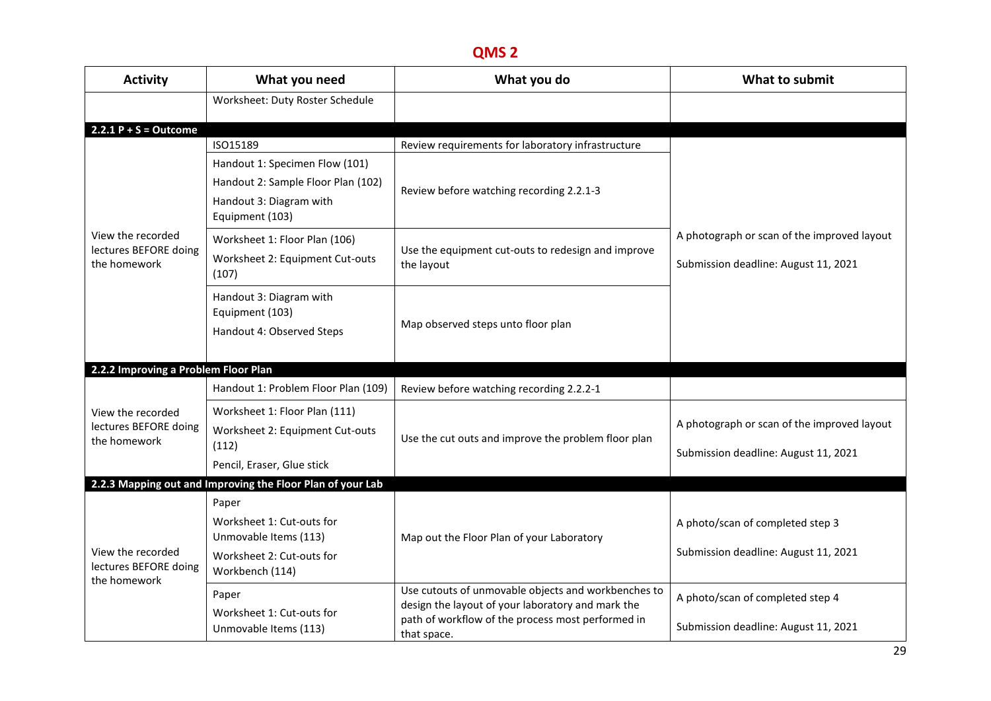| <b>Activity</b>                                            | What you need                                                                                                      | What you do                                                                                                                                                                  | What to submit                                                                      |
|------------------------------------------------------------|--------------------------------------------------------------------------------------------------------------------|------------------------------------------------------------------------------------------------------------------------------------------------------------------------------|-------------------------------------------------------------------------------------|
|                                                            | Worksheet: Duty Roster Schedule                                                                                    |                                                                                                                                                                              |                                                                                     |
| $2.2.1 P + S = Outcome$                                    |                                                                                                                    |                                                                                                                                                                              |                                                                                     |
|                                                            | ISO15189                                                                                                           | Review requirements for laboratory infrastructure                                                                                                                            |                                                                                     |
|                                                            | Handout 1: Specimen Flow (101)<br>Handout 2: Sample Floor Plan (102)<br>Handout 3: Diagram with<br>Equipment (103) | Review before watching recording 2.2.1-3                                                                                                                                     |                                                                                     |
| View the recorded<br>lectures BEFORE doing<br>the homework | Worksheet 1: Floor Plan (106)<br>Worksheet 2: Equipment Cut-outs<br>(107)                                          | Use the equipment cut-outs to redesign and improve<br>the layout                                                                                                             | A photograph or scan of the improved layout<br>Submission deadline: August 11, 2021 |
|                                                            | Handout 3: Diagram with<br>Equipment (103)<br>Handout 4: Observed Steps                                            | Map observed steps unto floor plan                                                                                                                                           |                                                                                     |
| 2.2.2 Improving a Problem Floor Plan                       |                                                                                                                    |                                                                                                                                                                              |                                                                                     |
|                                                            | Handout 1: Problem Floor Plan (109)                                                                                | Review before watching recording 2.2.2-1                                                                                                                                     |                                                                                     |
| View the recorded<br>lectures BEFORE doing<br>the homework | Worksheet 1: Floor Plan (111)<br>Worksheet 2: Equipment Cut-outs<br>(112)<br>Pencil, Eraser, Glue stick            | Use the cut outs and improve the problem floor plan                                                                                                                          | A photograph or scan of the improved layout<br>Submission deadline: August 11, 2021 |
|                                                            | 2.2.3 Mapping out and Improving the Floor Plan of your Lab                                                         |                                                                                                                                                                              |                                                                                     |
| View the recorded<br>lectures BEFORE doing<br>the homework | Paper<br>Worksheet 1: Cut-outs for<br>Unmovable Items (113)<br>Worksheet 2: Cut-outs for<br>Workbench (114)        | Map out the Floor Plan of your Laboratory                                                                                                                                    | A photo/scan of completed step 3<br>Submission deadline: August 11, 2021            |
|                                                            | Paper<br>Worksheet 1: Cut-outs for<br>Unmovable Items (113)                                                        | Use cutouts of unmovable objects and workbenches to<br>design the layout of your laboratory and mark the<br>path of workflow of the process most performed in<br>that space. | A photo/scan of completed step 4<br>Submission deadline: August 11, 2021            |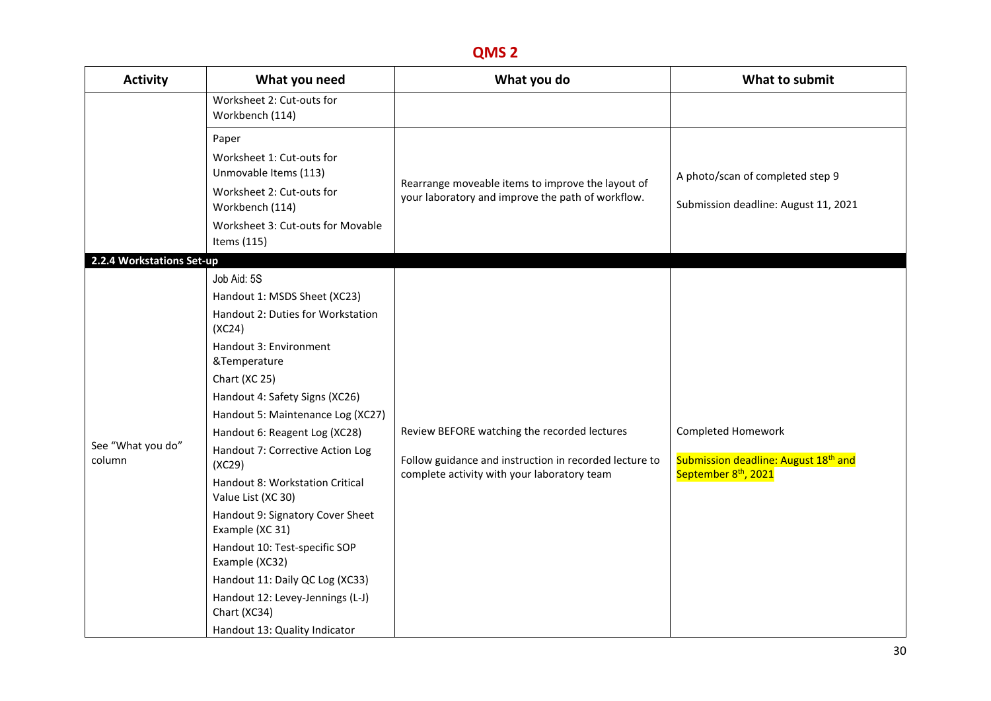| <b>Activity</b>             | What you need                                                                                                                                                                                                                                                                                                                                                                                                                                                                                                                                                                                          | What you do                                                                                                                                           | What to submit                                                                                             |
|-----------------------------|--------------------------------------------------------------------------------------------------------------------------------------------------------------------------------------------------------------------------------------------------------------------------------------------------------------------------------------------------------------------------------------------------------------------------------------------------------------------------------------------------------------------------------------------------------------------------------------------------------|-------------------------------------------------------------------------------------------------------------------------------------------------------|------------------------------------------------------------------------------------------------------------|
|                             | Worksheet 2: Cut-outs for<br>Workbench (114)                                                                                                                                                                                                                                                                                                                                                                                                                                                                                                                                                           |                                                                                                                                                       |                                                                                                            |
|                             | Paper<br>Worksheet 1: Cut-outs for<br>Unmovable Items (113)<br>Worksheet 2: Cut-outs for<br>Workbench (114)<br>Worksheet 3: Cut-outs for Movable<br>Items (115)                                                                                                                                                                                                                                                                                                                                                                                                                                        | Rearrange moveable items to improve the layout of<br>your laboratory and improve the path of workflow.                                                | A photo/scan of completed step 9<br>Submission deadline: August 11, 2021                                   |
| 2.2.4 Workstations Set-up   |                                                                                                                                                                                                                                                                                                                                                                                                                                                                                                                                                                                                        |                                                                                                                                                       |                                                                                                            |
| See "What you do"<br>column | Job Aid: 5S<br>Handout 1: MSDS Sheet (XC23)<br>Handout 2: Duties for Workstation<br>(XC24)<br>Handout 3: Environment<br>&Temperature<br>Chart (XC 25)<br>Handout 4: Safety Signs (XC26)<br>Handout 5: Maintenance Log (XC27)<br>Handout 6: Reagent Log (XC28)<br>Handout 7: Corrective Action Log<br>(XC29)<br>Handout 8: Workstation Critical<br>Value List (XC 30)<br>Handout 9: Signatory Cover Sheet<br>Example (XC 31)<br>Handout 10: Test-specific SOP<br>Example (XC32)<br>Handout 11: Daily QC Log (XC33)<br>Handout 12: Levey-Jennings (L-J)<br>Chart (XC34)<br>Handout 13: Quality Indicator | Review BEFORE watching the recorded lectures<br>Follow guidance and instruction in recorded lecture to<br>complete activity with your laboratory team | Completed Homework<br>Submission deadline: August 18 <sup>th</sup> and<br>September 8 <sup>th</sup> , 2021 |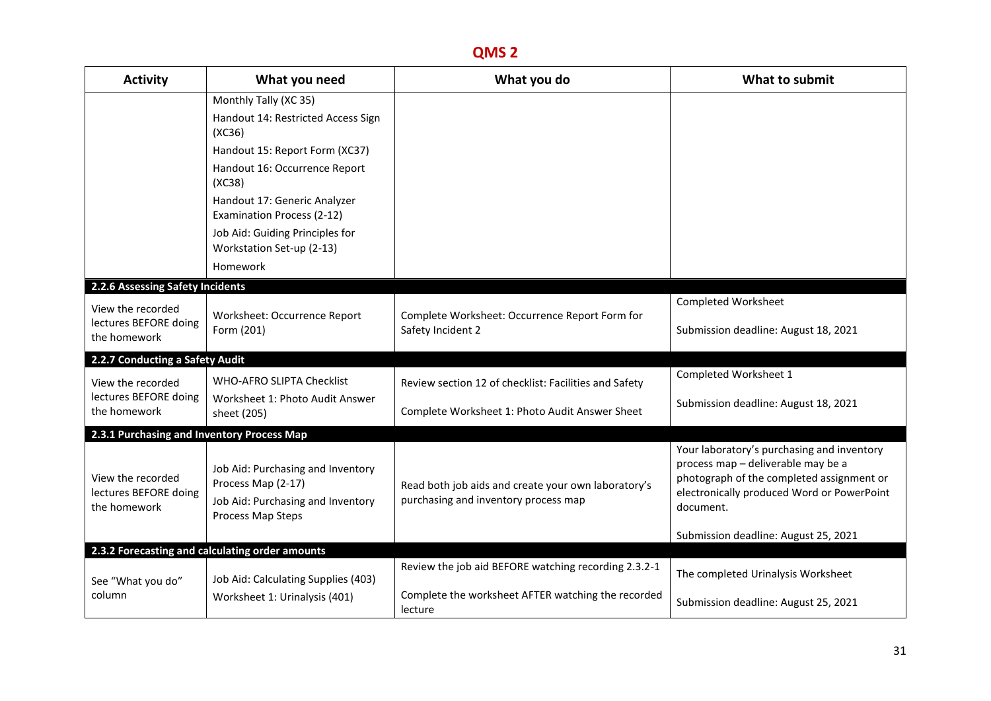| <b>Activity</b>                                            | What you need                                                                                                     | What you do                                                                                 | What to submit                                                                                                                                                                           |
|------------------------------------------------------------|-------------------------------------------------------------------------------------------------------------------|---------------------------------------------------------------------------------------------|------------------------------------------------------------------------------------------------------------------------------------------------------------------------------------------|
|                                                            | Monthly Tally (XC 35)<br>Handout 14: Restricted Access Sign<br>(XC36)<br>Handout 15: Report Form (XC37)           |                                                                                             |                                                                                                                                                                                          |
|                                                            | Handout 16: Occurrence Report<br>(XC38)                                                                           |                                                                                             |                                                                                                                                                                                          |
|                                                            | Handout 17: Generic Analyzer<br>Examination Process (2-12)                                                        |                                                                                             |                                                                                                                                                                                          |
|                                                            | Job Aid: Guiding Principles for<br>Workstation Set-up (2-13)                                                      |                                                                                             |                                                                                                                                                                                          |
|                                                            | Homework                                                                                                          |                                                                                             |                                                                                                                                                                                          |
| 2.2.6 Assessing Safety Incidents                           |                                                                                                                   |                                                                                             | <b>Completed Worksheet</b>                                                                                                                                                               |
| View the recorded<br>lectures BEFORE doing<br>the homework | Worksheet: Occurrence Report<br>Form (201)                                                                        | Complete Worksheet: Occurrence Report Form for<br>Safety Incident 2                         | Submission deadline: August 18, 2021                                                                                                                                                     |
| 2.2.7 Conducting a Safety Audit                            |                                                                                                                   |                                                                                             |                                                                                                                                                                                          |
| View the recorded                                          | WHO-AFRO SLIPTA Checklist                                                                                         | Review section 12 of checklist: Facilities and Safety                                       | Completed Worksheet 1                                                                                                                                                                    |
| lectures BEFORE doing<br>the homework                      | Worksheet 1: Photo Audit Answer<br>sheet (205)                                                                    | Complete Worksheet 1: Photo Audit Answer Sheet                                              | Submission deadline: August 18, 2021                                                                                                                                                     |
| 2.3.1 Purchasing and Inventory Process Map                 |                                                                                                                   |                                                                                             |                                                                                                                                                                                          |
| View the recorded<br>lectures BEFORE doing<br>the homework | Job Aid: Purchasing and Inventory<br>Process Map (2-17)<br>Job Aid: Purchasing and Inventory<br>Process Map Steps | Read both job aids and create your own laboratory's<br>purchasing and inventory process map | Your laboratory's purchasing and inventory<br>process map - deliverable may be a<br>photograph of the completed assignment or<br>electronically produced Word or PowerPoint<br>document. |
|                                                            |                                                                                                                   |                                                                                             | Submission deadline: August 25, 2021                                                                                                                                                     |
|                                                            | 2.3.2 Forecasting and calculating order amounts                                                                   | Review the job aid BEFORE watching recording 2.3.2-1                                        |                                                                                                                                                                                          |
| See "What you do"                                          | Job Aid: Calculating Supplies (403)                                                                               |                                                                                             | The completed Urinalysis Worksheet                                                                                                                                                       |
| column                                                     | Worksheet 1: Urinalysis (401)                                                                                     | Complete the worksheet AFTER watching the recorded<br>lecture                               | Submission deadline: August 25, 2021                                                                                                                                                     |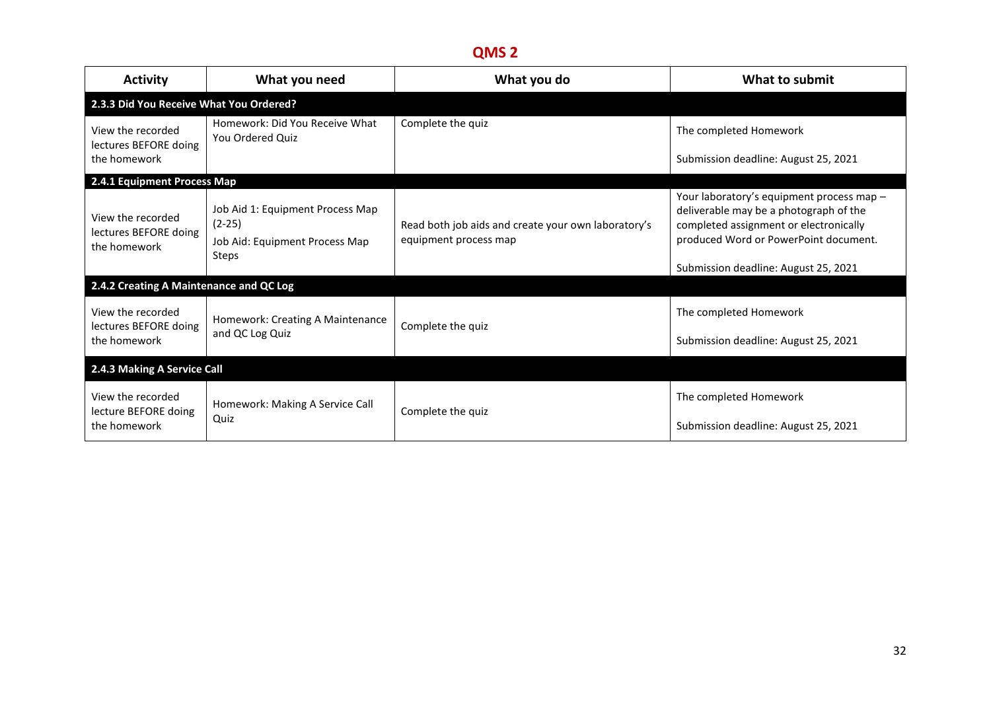| <b>Activity</b>                                                                           | What you need                                                                  | What you do                                                                  | What to submit                                                                                                                                                         |
|-------------------------------------------------------------------------------------------|--------------------------------------------------------------------------------|------------------------------------------------------------------------------|------------------------------------------------------------------------------------------------------------------------------------------------------------------------|
| 2.3.3 Did You Receive What You Ordered?                                                   |                                                                                |                                                                              |                                                                                                                                                                        |
| View the recorded<br>lectures BEFORE doing                                                | Homework: Did You Receive What<br>You Ordered Quiz                             | Complete the quiz                                                            | The completed Homework                                                                                                                                                 |
| the homework                                                                              |                                                                                |                                                                              | Submission deadline: August 25, 2021                                                                                                                                   |
| 2.4.1 Equipment Process Map<br>View the recorded<br>lectures BEFORE doing<br>the homework | Job Aid 1: Equipment Process Map<br>$(2-25)$<br>Job Aid: Equipment Process Map | Read both job aids and create your own laboratory's<br>equipment process map | Your laboratory's equipment process map -<br>deliverable may be a photograph of the<br>completed assignment or electronically<br>produced Word or PowerPoint document. |
|                                                                                           | <b>Steps</b>                                                                   |                                                                              | Submission deadline: August 25, 2021                                                                                                                                   |
| 2.4.2 Creating A Maintenance and QC Log                                                   |                                                                                |                                                                              |                                                                                                                                                                        |
| View the recorded<br>lectures BEFORE doing                                                | Homework: Creating A Maintenance<br>and QC Log Quiz                            | Complete the quiz                                                            | The completed Homework                                                                                                                                                 |
| the homework                                                                              |                                                                                |                                                                              | Submission deadline: August 25, 2021                                                                                                                                   |
| 2.4.3 Making A Service Call                                                               |                                                                                |                                                                              |                                                                                                                                                                        |
| View the recorded<br>lecture BEFORE doing                                                 | Homework: Making A Service Call                                                | Complete the quiz                                                            | The completed Homework                                                                                                                                                 |
| the homework                                                                              | Quiz                                                                           |                                                                              | Submission deadline: August 25, 2021                                                                                                                                   |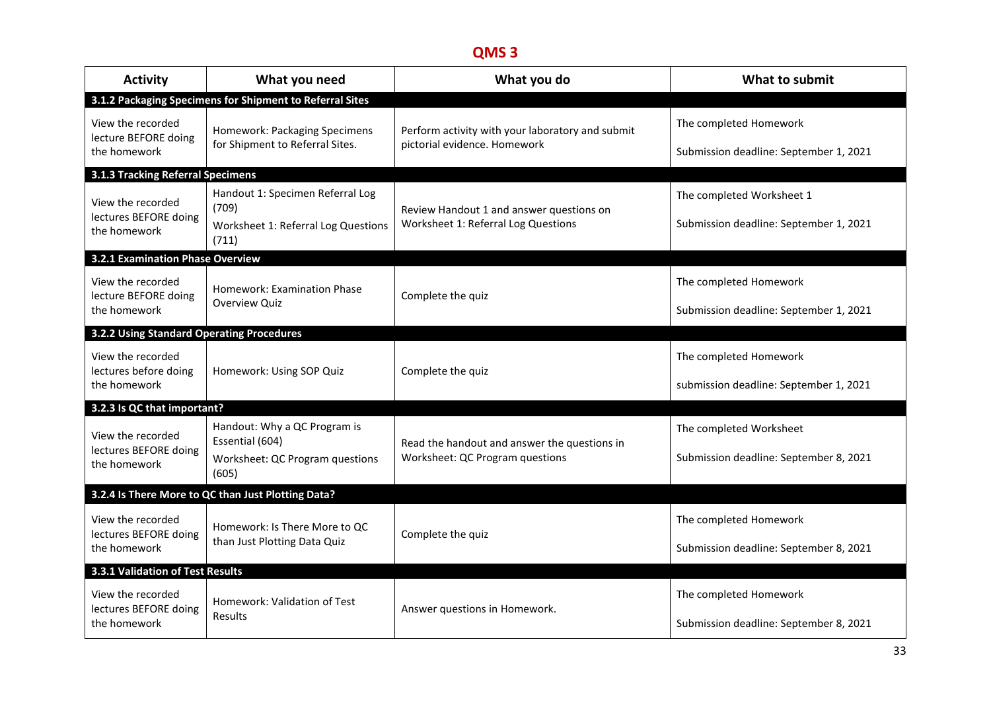| <b>Activity</b>                                            | What you need                                                                               | What you do                                                                      | What to submit                                                      |
|------------------------------------------------------------|---------------------------------------------------------------------------------------------|----------------------------------------------------------------------------------|---------------------------------------------------------------------|
|                                                            | 3.1.2 Packaging Specimens for Shipment to Referral Sites                                    |                                                                                  |                                                                     |
| View the recorded<br>lecture BEFORE doing<br>the homework  | Homework: Packaging Specimens<br>for Shipment to Referral Sites.                            | Perform activity with your laboratory and submit<br>pictorial evidence. Homework | The completed Homework<br>Submission deadline: September 1, 2021    |
| 3.1.3 Tracking Referral Specimens                          |                                                                                             |                                                                                  |                                                                     |
| View the recorded<br>lectures BEFORE doing<br>the homework | Handout 1: Specimen Referral Log<br>(709)<br>Worksheet 1: Referral Log Questions<br>(711)   | Review Handout 1 and answer questions on<br>Worksheet 1: Referral Log Questions  | The completed Worksheet 1<br>Submission deadline: September 1, 2021 |
| 3.2.1 Examination Phase Overview                           |                                                                                             |                                                                                  |                                                                     |
| View the recorded<br>lecture BEFORE doing<br>the homework  | <b>Homework: Examination Phase</b><br>Overview Quiz                                         | Complete the quiz                                                                | The completed Homework<br>Submission deadline: September 1, 2021    |
| 3.2.2 Using Standard Operating Procedures                  |                                                                                             |                                                                                  |                                                                     |
| View the recorded<br>lectures before doing<br>the homework | Homework: Using SOP Quiz                                                                    | Complete the quiz                                                                | The completed Homework<br>submission deadline: September 1, 2021    |
| 3.2.3 Is QC that important?                                |                                                                                             |                                                                                  |                                                                     |
| View the recorded<br>lectures BEFORE doing<br>the homework | Handout: Why a QC Program is<br>Essential (604)<br>Worksheet: QC Program questions<br>(605) | Read the handout and answer the questions in<br>Worksheet: QC Program questions  | The completed Worksheet<br>Submission deadline: September 8, 2021   |
|                                                            | 3.2.4 Is There More to QC than Just Plotting Data?                                          |                                                                                  |                                                                     |
| View the recorded<br>lectures BEFORE doing<br>the homework | Homework: Is There More to QC<br>than Just Plotting Data Quiz                               | Complete the quiz                                                                | The completed Homework<br>Submission deadline: September 8, 2021    |
| 3.3.1 Validation of Test Results                           |                                                                                             |                                                                                  |                                                                     |
| View the recorded<br>lectures BEFORE doing<br>the homework | Homework: Validation of Test<br>Results                                                     | Answer questions in Homework.                                                    | The completed Homework<br>Submission deadline: September 8, 2021    |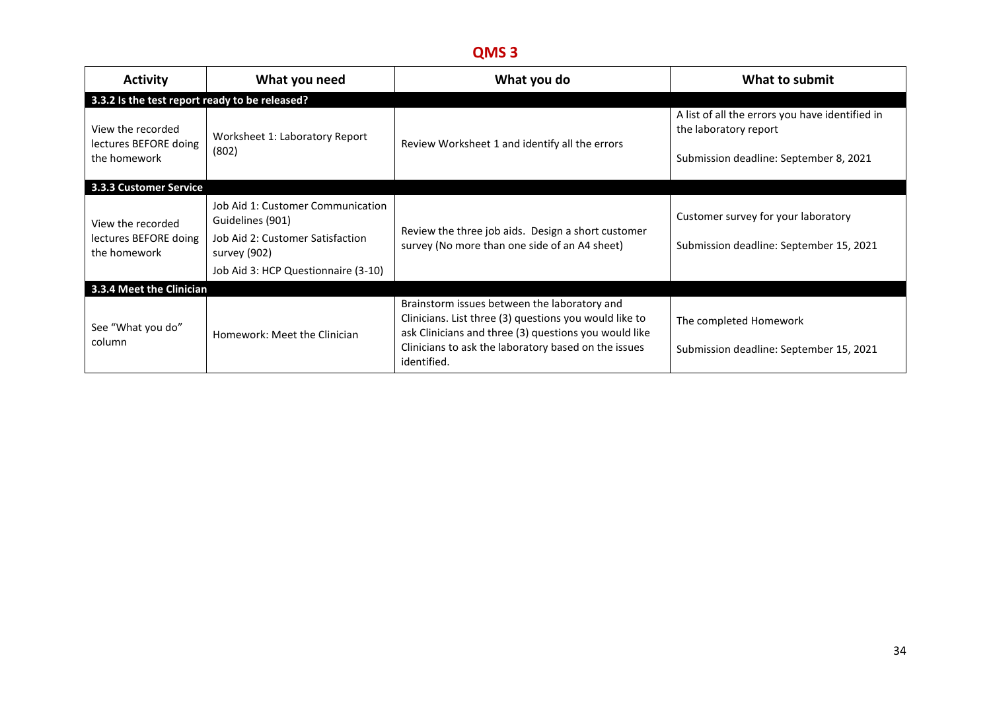| <b>Activity</b>                                            | What you need                                                                                                                                    | What you do                                                                                                                                                                                                                            | What to submit                                                                                                     |
|------------------------------------------------------------|--------------------------------------------------------------------------------------------------------------------------------------------------|----------------------------------------------------------------------------------------------------------------------------------------------------------------------------------------------------------------------------------------|--------------------------------------------------------------------------------------------------------------------|
| 3.3.2 Is the test report ready to be released?             |                                                                                                                                                  |                                                                                                                                                                                                                                        |                                                                                                                    |
| View the recorded<br>lectures BEFORE doing<br>the homework | Worksheet 1: Laboratory Report<br>(802)                                                                                                          | Review Worksheet 1 and identify all the errors                                                                                                                                                                                         | A list of all the errors you have identified in<br>the laboratory report<br>Submission deadline: September 8, 2021 |
| 3.3.3 Customer Service                                     |                                                                                                                                                  |                                                                                                                                                                                                                                        |                                                                                                                    |
| View the recorded<br>lectures BEFORE doing<br>the homework | Job Aid 1: Customer Communication<br>Guidelines (901)<br>Job Aid 2: Customer Satisfaction<br>survey (902)<br>Job Aid 3: HCP Questionnaire (3-10) | Review the three job aids. Design a short customer<br>survey (No more than one side of an A4 sheet)                                                                                                                                    | Customer survey for your laboratory<br>Submission deadline: September 15, 2021                                     |
| 3.3.4 Meet the Clinician                                   |                                                                                                                                                  |                                                                                                                                                                                                                                        |                                                                                                                    |
| See "What you do"<br>column                                | Homework: Meet the Clinician                                                                                                                     | Brainstorm issues between the laboratory and<br>Clinicians. List three (3) questions you would like to<br>ask Clinicians and three (3) questions you would like<br>Clinicians to ask the laboratory based on the issues<br>identified. | The completed Homework<br>Submission deadline: September 15, 2021                                                  |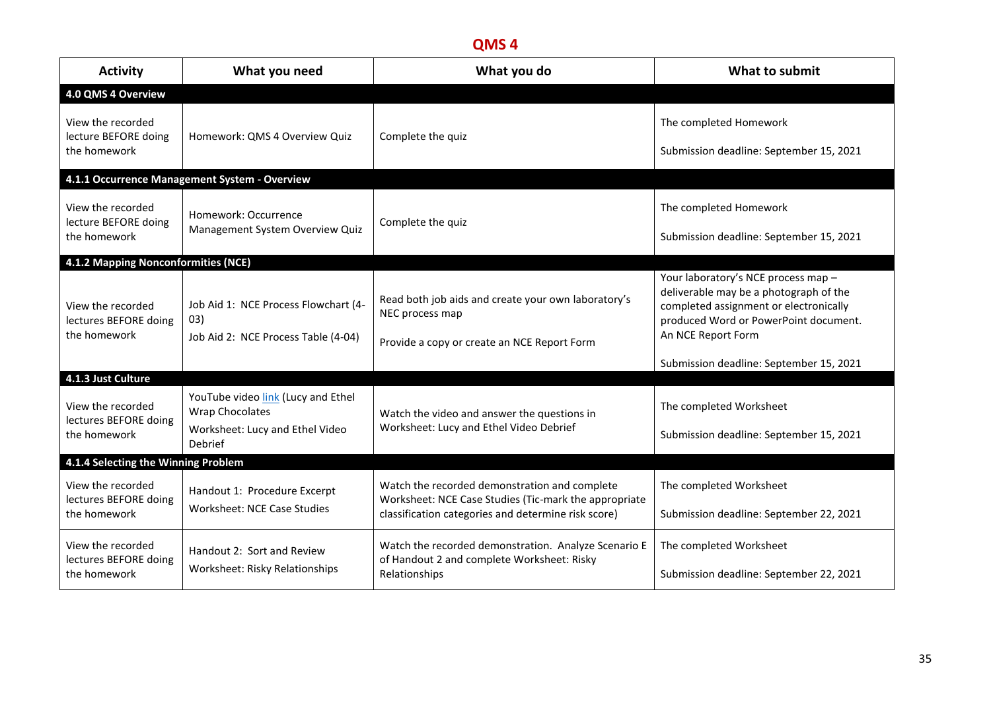| <b>Activity</b>                                            | What you need                                                                                              | What you do                                                                                                                                                   | What to submit                                                                                                                                                                                                                    |
|------------------------------------------------------------|------------------------------------------------------------------------------------------------------------|---------------------------------------------------------------------------------------------------------------------------------------------------------------|-----------------------------------------------------------------------------------------------------------------------------------------------------------------------------------------------------------------------------------|
| 4.0 QMS 4 Overview                                         |                                                                                                            |                                                                                                                                                               |                                                                                                                                                                                                                                   |
| View the recorded<br>lecture BEFORE doing<br>the homework  | Homework: QMS 4 Overview Quiz                                                                              | Complete the quiz                                                                                                                                             | The completed Homework<br>Submission deadline: September 15, 2021                                                                                                                                                                 |
|                                                            | 4.1.1 Occurrence Management System - Overview                                                              |                                                                                                                                                               |                                                                                                                                                                                                                                   |
| View the recorded<br>lecture BEFORE doing<br>the homework  | Homework: Occurrence<br>Management System Overview Quiz                                                    | Complete the quiz                                                                                                                                             | The completed Homework<br>Submission deadline: September 15, 2021                                                                                                                                                                 |
| 4.1.2 Mapping Nonconformities (NCE)                        |                                                                                                            |                                                                                                                                                               |                                                                                                                                                                                                                                   |
| View the recorded<br>lectures BEFORE doing<br>the homework | Job Aid 1: NCE Process Flowchart (4-<br>03)<br>Job Aid 2: NCE Process Table (4-04)                         | Read both job aids and create your own laboratory's<br>NEC process map<br>Provide a copy or create an NCE Report Form                                         | Your laboratory's NCE process map -<br>deliverable may be a photograph of the<br>completed assignment or electronically<br>produced Word or PowerPoint document.<br>An NCE Report Form<br>Submission deadline: September 15, 2021 |
| 4.1.3 Just Culture                                         |                                                                                                            |                                                                                                                                                               |                                                                                                                                                                                                                                   |
| View the recorded<br>lectures BEFORE doing<br>the homework | YouTube video link (Lucy and Ethel<br><b>Wrap Chocolates</b><br>Worksheet: Lucy and Ethel Video<br>Debrief | Watch the video and answer the questions in<br>Worksheet: Lucy and Ethel Video Debrief                                                                        | The completed Worksheet<br>Submission deadline: September 15, 2021                                                                                                                                                                |
| 4.1.4 Selecting the Winning Problem                        |                                                                                                            |                                                                                                                                                               |                                                                                                                                                                                                                                   |
| View the recorded<br>lectures BEFORE doing<br>the homework | Handout 1: Procedure Excerpt<br>Worksheet: NCE Case Studies                                                | Watch the recorded demonstration and complete<br>Worksheet: NCE Case Studies (Tic-mark the appropriate<br>classification categories and determine risk score) | The completed Worksheet<br>Submission deadline: September 22, 2021                                                                                                                                                                |
| View the recorded<br>lectures BEFORE doing<br>the homework | Handout 2: Sort and Review<br>Worksheet: Risky Relationships                                               | Watch the recorded demonstration. Analyze Scenario E<br>of Handout 2 and complete Worksheet: Risky<br>Relationships                                           | The completed Worksheet<br>Submission deadline: September 22, 2021                                                                                                                                                                |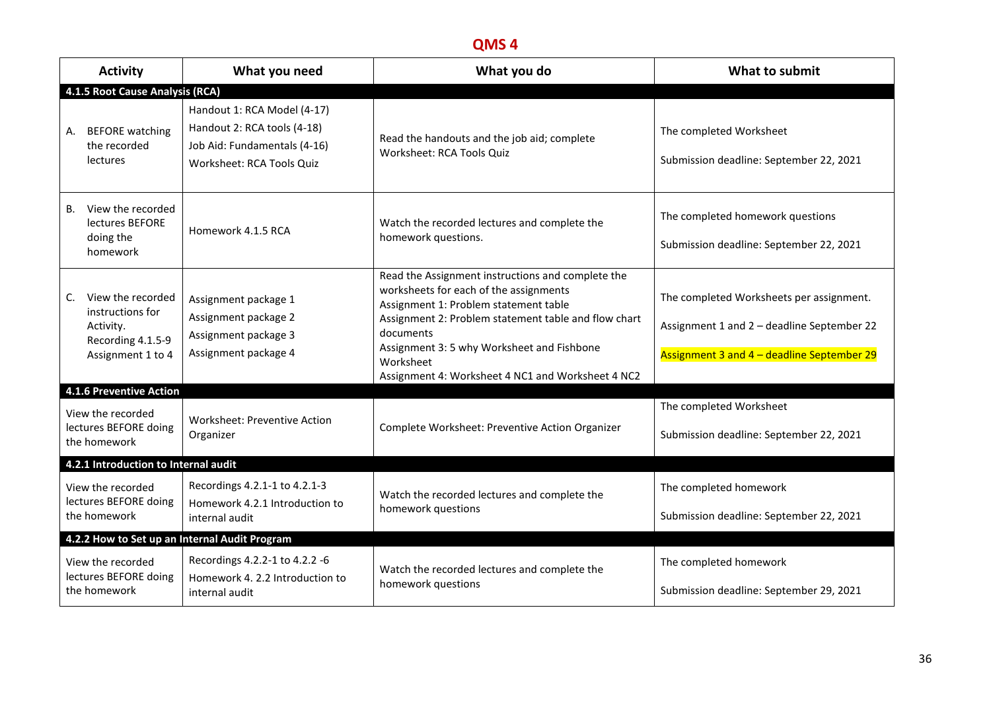| What you need<br><b>Activity</b>                           |                                                                                              | What you do                                                                                                             | What to submit                                                                                                                                                                                                                                                                                                            |                                                                                                                                      |
|------------------------------------------------------------|----------------------------------------------------------------------------------------------|-------------------------------------------------------------------------------------------------------------------------|---------------------------------------------------------------------------------------------------------------------------------------------------------------------------------------------------------------------------------------------------------------------------------------------------------------------------|--------------------------------------------------------------------------------------------------------------------------------------|
|                                                            | 4.1.5 Root Cause Analysis (RCA)                                                              |                                                                                                                         |                                                                                                                                                                                                                                                                                                                           |                                                                                                                                      |
| А.                                                         | <b>BEFORE</b> watching<br>the recorded<br>lectures                                           | Handout 1: RCA Model (4-17)<br>Handout 2: RCA tools (4-18)<br>Job Aid: Fundamentals (4-16)<br>Worksheet: RCA Tools Quiz | Read the handouts and the job aid; complete<br>Worksheet: RCA Tools Quiz                                                                                                                                                                                                                                                  | The completed Worksheet<br>Submission deadline: September 22, 2021                                                                   |
| B.                                                         | View the recorded<br>lectures BEFORE<br>doing the<br>homework                                | Homework 4.1.5 RCA                                                                                                      | Watch the recorded lectures and complete the<br>homework questions.                                                                                                                                                                                                                                                       | The completed homework questions<br>Submission deadline: September 22, 2021                                                          |
| C.                                                         | View the recorded<br>instructions for<br>Activity.<br>Recording 4.1.5-9<br>Assignment 1 to 4 | Assignment package 1<br>Assignment package 2<br>Assignment package 3<br>Assignment package 4                            | Read the Assignment instructions and complete the<br>worksheets for each of the assignments<br>Assignment 1: Problem statement table<br>Assignment 2: Problem statement table and flow chart<br>documents<br>Assignment 3: 5 why Worksheet and Fishbone<br>Worksheet<br>Assignment 4: Worksheet 4 NC1 and Worksheet 4 NC2 | The completed Worksheets per assignment.<br>Assignment 1 and 2 - deadline September 22<br>Assignment 3 and 4 - deadline September 29 |
|                                                            | 4.1.6 Preventive Action                                                                      |                                                                                                                         |                                                                                                                                                                                                                                                                                                                           |                                                                                                                                      |
| View the recorded<br>lectures BEFORE doing<br>the homework |                                                                                              | Worksheet: Preventive Action<br>Organizer                                                                               | Complete Worksheet: Preventive Action Organizer                                                                                                                                                                                                                                                                           | The completed Worksheet<br>Submission deadline: September 22, 2021                                                                   |
|                                                            | 4.2.1 Introduction to Internal audit                                                         |                                                                                                                         |                                                                                                                                                                                                                                                                                                                           |                                                                                                                                      |
|                                                            | View the recorded<br>lectures BEFORE doing<br>the homework                                   | Recordings 4.2.1-1 to 4.2.1-3<br>Homework 4.2.1 Introduction to<br>internal audit                                       | Watch the recorded lectures and complete the<br>homework questions                                                                                                                                                                                                                                                        | The completed homework<br>Submission deadline: September 22, 2021                                                                    |
|                                                            |                                                                                              | 4.2.2 How to Set up an Internal Audit Program                                                                           |                                                                                                                                                                                                                                                                                                                           |                                                                                                                                      |
|                                                            | View the recorded<br>lectures BEFORE doing<br>the homework                                   | Recordings 4.2.2-1 to 4.2.2 -6<br>Homework 4. 2.2 Introduction to<br>internal audit                                     | Watch the recorded lectures and complete the<br>homework questions                                                                                                                                                                                                                                                        | The completed homework<br>Submission deadline: September 29, 2021                                                                    |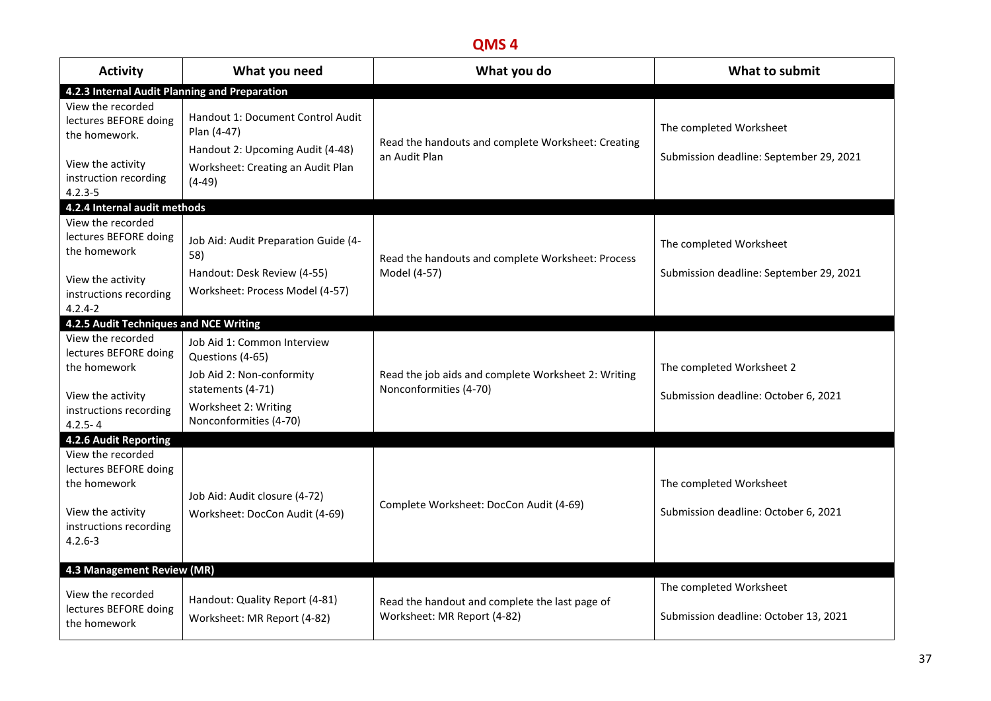| <b>Activity</b>                                                                                                          | What you need                                                                                                                                       | What you do                                                                   | What to submit                                                     |  |  |  |
|--------------------------------------------------------------------------------------------------------------------------|-----------------------------------------------------------------------------------------------------------------------------------------------------|-------------------------------------------------------------------------------|--------------------------------------------------------------------|--|--|--|
| 4.2.3 Internal Audit Planning and Preparation                                                                            |                                                                                                                                                     |                                                                               |                                                                    |  |  |  |
| View the recorded<br>lectures BEFORE doing<br>the homework.<br>View the activity<br>instruction recording<br>$4.2.3 - 5$ | Handout 1: Document Control Audit<br>Plan (4-47)<br>Handout 2: Upcoming Audit (4-48)<br>Worksheet: Creating an Audit Plan<br>$(4-49)$               | Read the handouts and complete Worksheet: Creating<br>an Audit Plan           | The completed Worksheet<br>Submission deadline: September 29, 2021 |  |  |  |
| 4.2.4 Internal audit methods                                                                                             |                                                                                                                                                     |                                                                               |                                                                    |  |  |  |
| View the recorded<br>lectures BEFORE doing<br>the homework<br>View the activity<br>instructions recording<br>$4.2.4 - 2$ | Job Aid: Audit Preparation Guide (4-<br>58)<br>Handout: Desk Review (4-55)<br>Worksheet: Process Model (4-57)                                       | Read the handouts and complete Worksheet: Process<br>Model (4-57)             | The completed Worksheet<br>Submission deadline: September 29, 2021 |  |  |  |
| 4.2.5 Audit Techniques and NCE Writing                                                                                   |                                                                                                                                                     |                                                                               |                                                                    |  |  |  |
| View the recorded<br>lectures BEFORE doing<br>the homework<br>View the activity<br>instructions recording<br>$4.2.5 - 4$ | Job Aid 1: Common Interview<br>Questions (4-65)<br>Job Aid 2: Non-conformity<br>statements (4-71)<br>Worksheet 2: Writing<br>Nonconformities (4-70) | Read the job aids and complete Worksheet 2: Writing<br>Nonconformities (4-70) | The completed Worksheet 2<br>Submission deadline: October 6, 2021  |  |  |  |
| 4.2.6 Audit Reporting                                                                                                    |                                                                                                                                                     |                                                                               |                                                                    |  |  |  |
| View the recorded<br>lectures BEFORE doing<br>the homework<br>View the activity<br>instructions recording<br>$4.2.6 - 3$ | Job Aid: Audit closure (4-72)<br>Worksheet: DocCon Audit (4-69)                                                                                     | Complete Worksheet: DocCon Audit (4-69)                                       | The completed Worksheet<br>Submission deadline: October 6, 2021    |  |  |  |
|                                                                                                                          | 4.3 Management Review (MR)                                                                                                                          |                                                                               |                                                                    |  |  |  |
| View the recorded<br>lectures BEFORE doing<br>the homework                                                               | Handout: Quality Report (4-81)<br>Worksheet: MR Report (4-82)                                                                                       | Read the handout and complete the last page of<br>Worksheet: MR Report (4-82) | The completed Worksheet<br>Submission deadline: October 13, 2021   |  |  |  |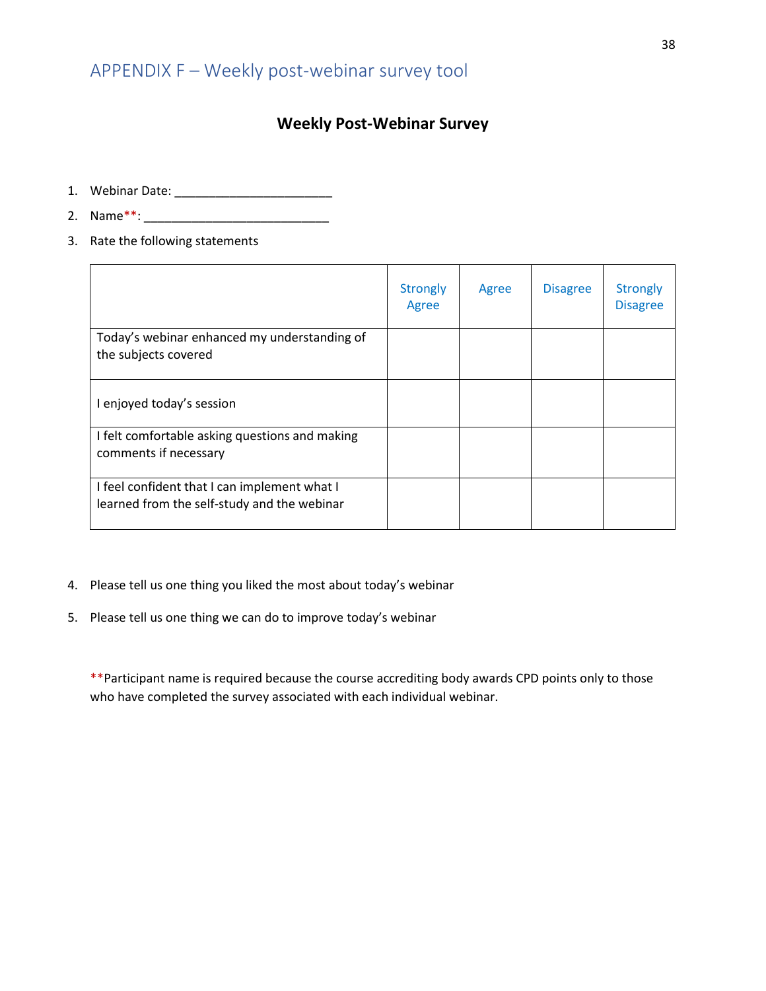#### **Weekly Post-Webinar Survey**

- <span id="page-38-0"></span>1. Webinar Date: \_\_\_\_\_\_\_\_\_\_\_\_\_\_\_\_\_\_\_\_\_\_\_
- 2. Name\*\*: \_\_\_\_\_\_\_\_\_\_\_\_\_\_\_\_\_\_\_\_\_\_\_\_\_\_\_
- 3. Rate the following statements

|                                                                                             | <b>Strongly</b><br>Agree | Agree | <b>Disagree</b> | <b>Strongly</b><br><b>Disagree</b> |
|---------------------------------------------------------------------------------------------|--------------------------|-------|-----------------|------------------------------------|
| Today's webinar enhanced my understanding of<br>the subjects covered                        |                          |       |                 |                                    |
| enjoyed today's session                                                                     |                          |       |                 |                                    |
| I felt comfortable asking questions and making<br>comments if necessary                     |                          |       |                 |                                    |
| I feel confident that I can implement what I<br>learned from the self-study and the webinar |                          |       |                 |                                    |

- 4. Please tell us one thing you liked the most about today's webinar
- 5. Please tell us one thing we can do to improve today's webinar

\*\*Participant name is required because the course accrediting body awards CPD points only to those who have completed the survey associated with each individual webinar.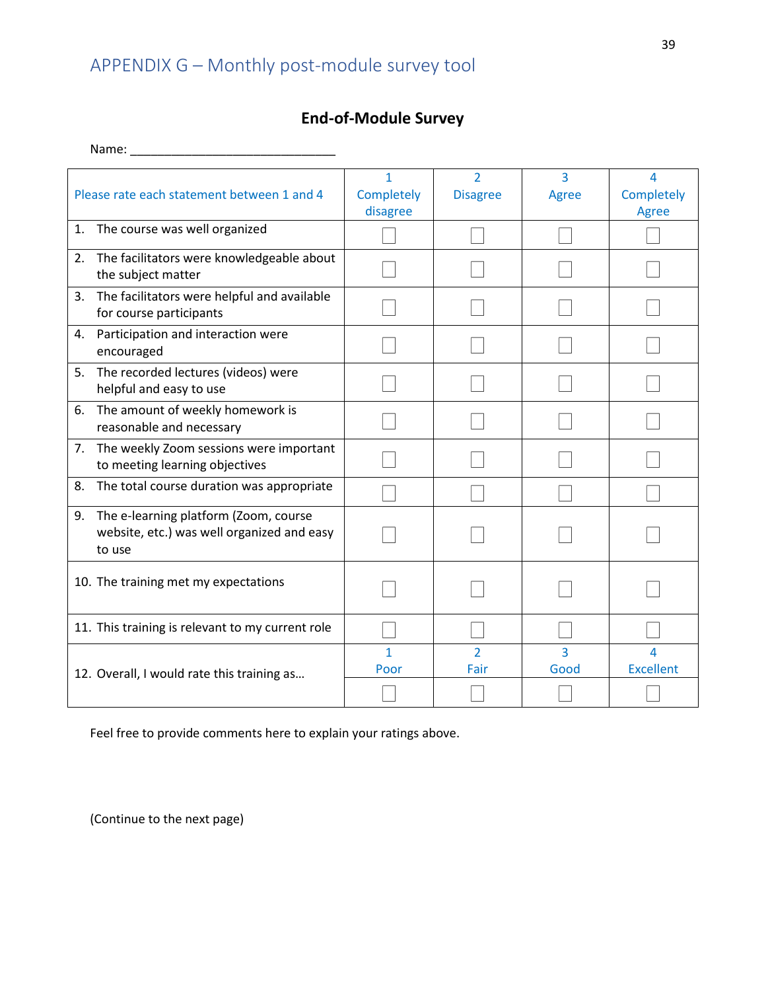# APPENDIX G – Monthly post-module survey tool

### **End-of-Module Survey**

<span id="page-39-0"></span>

| Please rate each statement between 1 and 4                                                          | 1<br>Completely<br>disagree | $\overline{2}$<br><b>Disagree</b> | $\overline{3}$<br>Agree | 4<br>Completely<br>Agree |
|-----------------------------------------------------------------------------------------------------|-----------------------------|-----------------------------------|-------------------------|--------------------------|
| The course was well organized<br>1.                                                                 |                             |                                   |                         |                          |
| The facilitators were knowledgeable about<br>2.<br>the subject matter                               |                             |                                   |                         |                          |
| The facilitators were helpful and available<br>3.<br>for course participants                        |                             |                                   |                         |                          |
| Participation and interaction were<br>4.<br>encouraged                                              |                             |                                   |                         |                          |
| The recorded lectures (videos) were<br>5.<br>helpful and easy to use                                |                             |                                   |                         |                          |
| The amount of weekly homework is<br>6.<br>reasonable and necessary                                  |                             |                                   |                         |                          |
| 7. The weekly Zoom sessions were important<br>to meeting learning objectives                        |                             |                                   |                         |                          |
| 8.<br>The total course duration was appropriate                                                     |                             |                                   |                         |                          |
| The e-learning platform (Zoom, course<br>9.<br>website, etc.) was well organized and easy<br>to use |                             |                                   |                         |                          |
| 10. The training met my expectations                                                                |                             |                                   |                         |                          |
| 11. This training is relevant to my current role                                                    |                             |                                   |                         |                          |
| 12. Overall, I would rate this training as                                                          | 1<br>Poor                   | $\overline{2}$<br>Fair            | $\overline{3}$<br>Good  | Δ<br><b>Excellent</b>    |
|                                                                                                     |                             |                                   |                         |                          |

Feel free to provide comments here to explain your ratings above.

(Continue to the next page)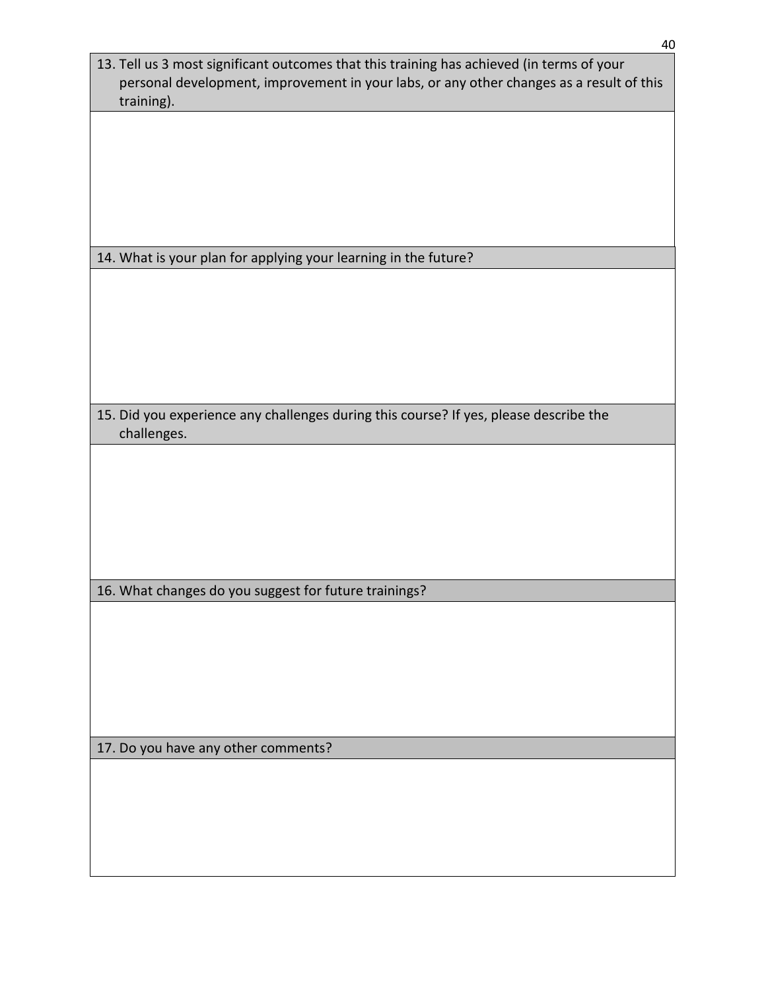| 13. Tell us 3 most significant outcomes that this training has achieved (in terms of your<br>personal development, improvement in your labs, or any other changes as a result of this<br>training). |
|-----------------------------------------------------------------------------------------------------------------------------------------------------------------------------------------------------|
|                                                                                                                                                                                                     |
|                                                                                                                                                                                                     |
|                                                                                                                                                                                                     |
| 14. What is your plan for applying your learning in the future?                                                                                                                                     |
|                                                                                                                                                                                                     |
| 15. Did you experience any challenges during this course? If yes, please describe the<br>challenges.                                                                                                |
|                                                                                                                                                                                                     |
|                                                                                                                                                                                                     |
|                                                                                                                                                                                                     |
|                                                                                                                                                                                                     |
| 16. What changes do you suggest for future trainings?                                                                                                                                               |
|                                                                                                                                                                                                     |
|                                                                                                                                                                                                     |
|                                                                                                                                                                                                     |
| 17. Do you have any other comments?                                                                                                                                                                 |
|                                                                                                                                                                                                     |
|                                                                                                                                                                                                     |
|                                                                                                                                                                                                     |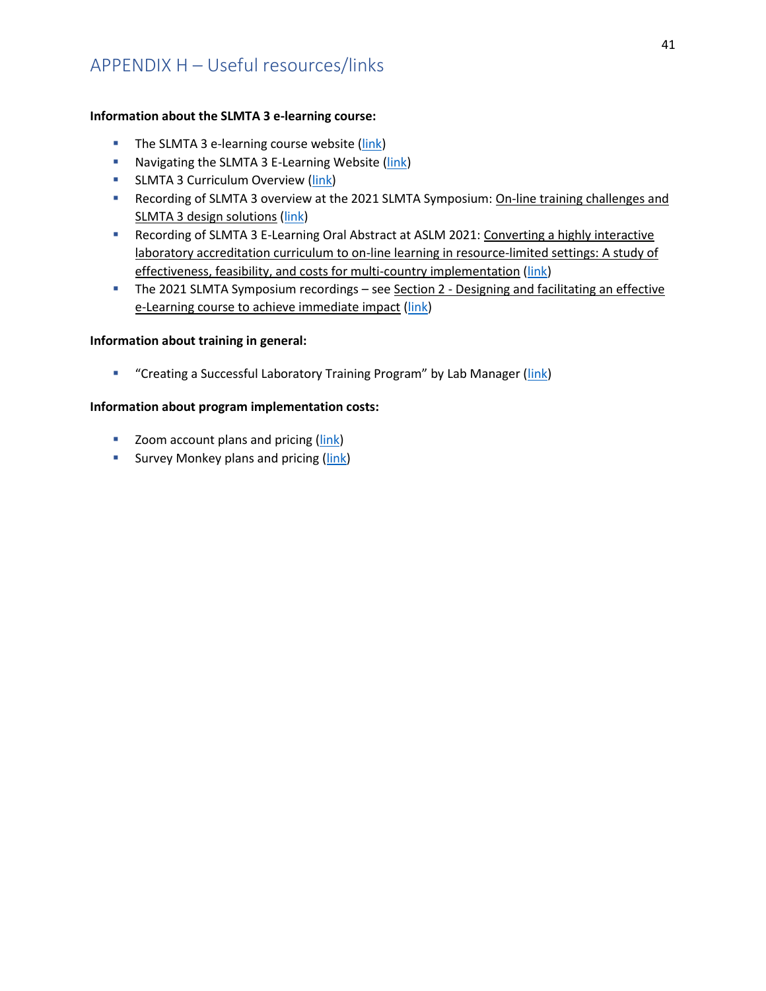#### <span id="page-41-0"></span>**Information about the SLMTA 3 e-learning course:**

- The SLMTA 3 e-learning course website [\(link\)](https://slmta.org/learning/)
- **E** Navigating the SLMTA 3 E-Learning Website [\(link\)](file:///C:/Users/dbx4/Downloads/Navigating%20the%20SLMTA%203%20e-learning%20website%20ver%202%20(2).pdf)
- **E** SLMTA 3 Curriculum Overview [\(link\)](file:///C:/Users/dbx4/Downloads/SLMTA%203%20CURRICULUM%20AT%20A%20GLANCE%20(cohort%202)%20for%20Participants%20(2).pdf)
- Recording of SLMTA 3 overview at the 2021 SLMTA Symposium: On-line training challenges and SLMTA 3 design solutions [\(link\)](https://www.youtube.com/watch?v=eKgy6In8qhM)
- Recording of SLMTA 3 E-Learning Oral Abstract at ASLM 2021: Converting a highly interactive laboratory accreditation curriculum to on-line learning in resource-limited settings: A study of effectiveness, feasibility, and costs for multi-country implementation [\(link\)](https://www.youtube.com/watch?v=llx403cS1hw)
- **The 2021 SLMTA Symposium recordings see Section 2 Designing and facilitating an effective** e-Learning course to achieve immediate impact [\(link\)](https://slmta.org/slmta-symposium/symposium-2021)

#### **Information about training in general:**

**E** "Creating a Successful Laboratory Training Program" by Lab Manager ([link\)](https://www.labmanager.com/leadership-and-staffing/creating-a-successful-laboratory-training-program-2352?utm_campaign=NEWSLETTERS_LM_Monitor&utm_medium=email&_hsmi=199781101&_hsenc=p2ANqtz--nS_gtaiVncya75P2t8j9uuSJkLMkZIv1nFDNe0LTJ1XFRlDeulJOfUp_vMl6vGcHf389dwIgQEU3hW6_kuzCzfiU-Ew&utm_content=199645330&utm_source=hs_email)

#### **Information about program implementation costs:**

- Zoom account plans and pricing [\(link\)](https://zoom.us/pricing)
- **E** Survey Monkey plans and pricing [\(link\)](https://www.surveymonkey.com/pricing/)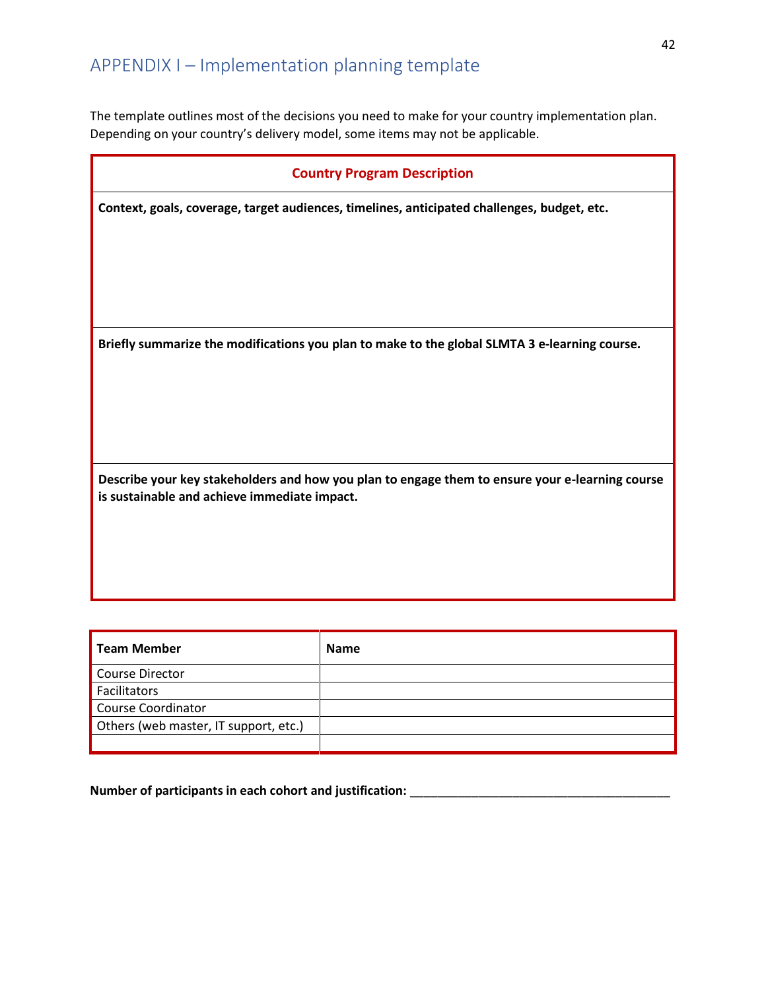<span id="page-42-0"></span>The template outlines most of the decisions you need to make for your country implementation plan. Depending on your country's delivery model, some items may not be applicable.

**Context, goals, coverage, target audiences, timelines, anticipated challenges, budget, etc.**

**Briefly summarize the modifications you plan to make to the global SLMTA 3 e-learning course.**

**Describe your key stakeholders and how you plan to engage them to ensure your e-learning course is sustainable and achieve immediate impact.**

| <b>Team Member</b>                    | <b>Name</b> |
|---------------------------------------|-------------|
| Course Director                       |             |
| Facilitators                          |             |
| <b>Course Coordinator</b>             |             |
| Others (web master, IT support, etc.) |             |
|                                       |             |

**Number of participants in each cohort and justification:** \_\_\_\_\_\_\_\_\_\_\_\_\_\_\_\_\_\_\_\_\_\_\_\_\_\_\_\_\_\_\_\_\_\_\_\_\_\_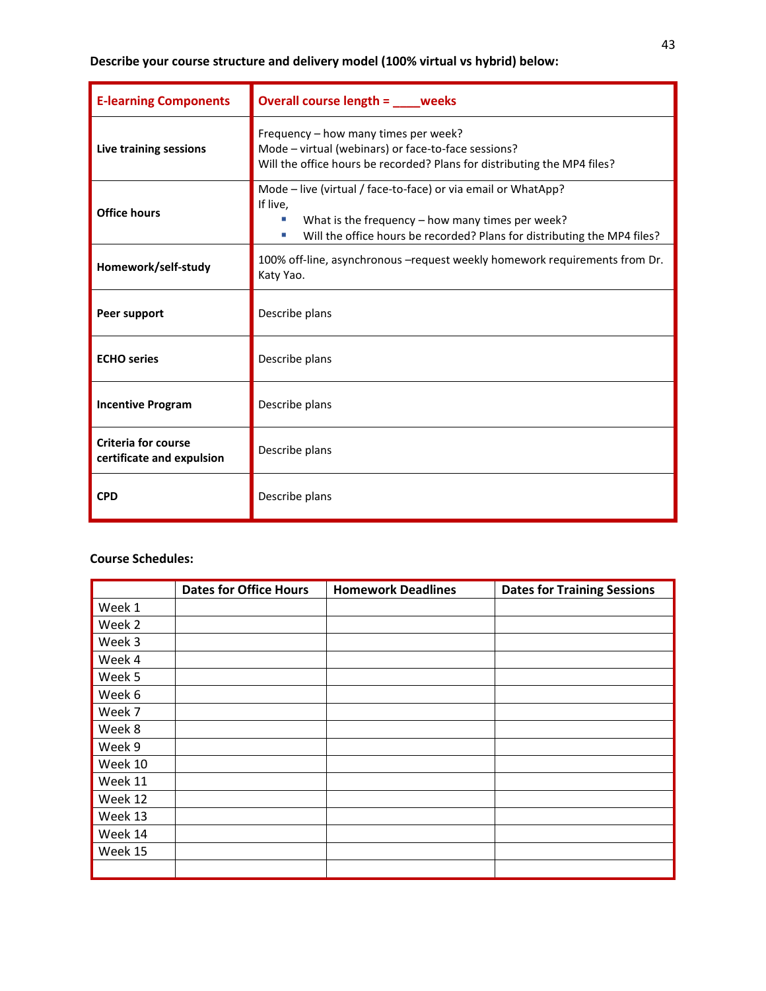#### **Describe your course structure and delivery model (100% virtual vs hybrid) below:**

| <b>E-learning Components</b>                                                                                    | Overall course length = ____ weeks                                                                                                                                                                                |  |
|-----------------------------------------------------------------------------------------------------------------|-------------------------------------------------------------------------------------------------------------------------------------------------------------------------------------------------------------------|--|
| Live training sessions                                                                                          | Frequency - how many times per week?<br>Mode - virtual (webinars) or face-to-face sessions?<br>Will the office hours be recorded? Plans for distributing the MP4 files?                                           |  |
| <b>Office hours</b>                                                                                             | Mode - live (virtual / face-to-face) or via email or WhatApp?<br>If live.<br>What is the frequency $-$ how many times per week?<br>Will the office hours be recorded? Plans for distributing the MP4 files?<br>a. |  |
| 100% off-line, asynchronous - request weekly homework requirements from Dr.<br>Homework/self-study<br>Katy Yao. |                                                                                                                                                                                                                   |  |
| Peer support                                                                                                    | Describe plans                                                                                                                                                                                                    |  |
| <b>ECHO</b> series                                                                                              | Describe plans                                                                                                                                                                                                    |  |
| <b>Incentive Program</b>                                                                                        | Describe plans                                                                                                                                                                                                    |  |
| <b>Criteria for course</b><br>certificate and expulsion                                                         | Describe plans                                                                                                                                                                                                    |  |
| <b>CPD</b>                                                                                                      | Describe plans                                                                                                                                                                                                    |  |

#### **Course Schedules:**

|         | <b>Dates for Office Hours</b> | <b>Homework Deadlines</b> | <b>Dates for Training Sessions</b> |
|---------|-------------------------------|---------------------------|------------------------------------|
| Week 1  |                               |                           |                                    |
| Week 2  |                               |                           |                                    |
| Week 3  |                               |                           |                                    |
| Week 4  |                               |                           |                                    |
| Week 5  |                               |                           |                                    |
| Week 6  |                               |                           |                                    |
| Week 7  |                               |                           |                                    |
| Week 8  |                               |                           |                                    |
| Week 9  |                               |                           |                                    |
| Week 10 |                               |                           |                                    |
| Week 11 |                               |                           |                                    |
| Week 12 |                               |                           |                                    |
| Week 13 |                               |                           |                                    |
| Week 14 |                               |                           |                                    |
| Week 15 |                               |                           |                                    |
|         |                               |                           |                                    |